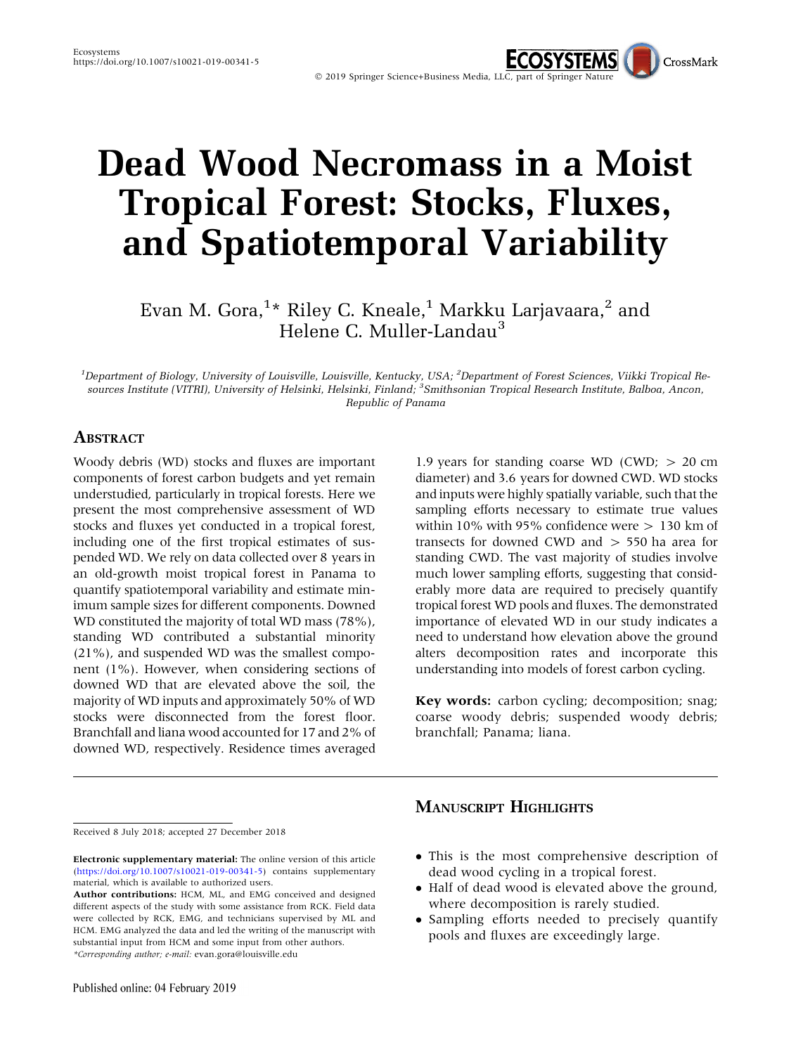# Dead Wood Necromass in a Moist Tropical Forest: Stocks, Fluxes, and Spatiotemporal Variability

Evan M. Gora, $^{1\star}$  Riley C. Kneale, $^{1}$  Markku Larjavaara, $^{2}$  and Helene C. Muller-Landau<sup>3</sup>

<sup>1</sup>Department of Biology, University of Louisville, Louisville, Kentucky, USA; <sup>2</sup>Department of Forest Sciences, Viikki Tropical Resources Institute (VITRI), University of Helsinki, Helsinki, Finland; <sup>3</sup>Smithsonian Tropical Research Institute, Balboa, Ancon, Republic of Panama

#### ABSTRACT

Woody debris (WD) stocks and fluxes are important components of forest carbon budgets and yet remain understudied, particularly in tropical forests. Here we present the most comprehensive assessment of WD stocks and fluxes yet conducted in a tropical forest, including one of the first tropical estimates of suspended WD. We rely on data collected over 8 years in an old-growth moist tropical forest in Panama to quantify spatiotemporal variability and estimate minimum sample sizes for different components. Downed WD constituted the majority of total WD mass (78%), standing WD contributed a substantial minority (21%), and suspended WD was the smallest component (1%). However, when considering sections of downed WD that are elevated above the soil, the majority of WD inputs and approximately 50% of WD stocks were disconnected from the forest floor. Branchfall and liana wood accounted for 17 and 2% of downed WD, respectively. Residence times averaged

1.9 years for standing coarse WD (CWD;  $> 20$  cm diameter) and 3.6 years for downed CWD. WD stocks and inputs were highly spatially variable, such that the sampling efforts necessary to estimate true values within 10% with 95% confidence were  $> 130$  km of transects for downed CWD and > 550 ha area for standing CWD. The vast majority of studies involve much lower sampling efforts, suggesting that considerably more data are required to precisely quantify tropical forest WD pools and fluxes. The demonstrated importance of elevated WD in our study indicates a need to understand how elevation above the ground alters decomposition rates and incorporate this understanding into models of forest carbon cycling.

CrossMark

Key words: carbon cycling; decomposition; snag; coarse woody debris; suspended woody debris; branchfall; Panama; liana.

#### Received 8 July 2018; accepted 27 December 2018

- This is the most comprehensive description of dead wood cycling in a tropical forest.

MANUSCRIPT HIGHLIGHTS

- Half of dead wood is elevated above the ground, where decomposition is rarely studied.
- Sampling efforts needed to precisely quantify pools and fluxes are exceedingly large.

Electronic supplementary material: The online version of this article (<https://doi.org/10.1007/s10021-019-00341-5>) contains supplementary material, which is available to authorized users.

Author contributions: HCM, ML, and EMG conceived and designed different aspects of the study with some assistance from RCK. Field data were collected by RCK, EMG, and technicians supervised by ML and HCM. EMG analyzed the data and led the writing of the manuscript with substantial input from HCM and some input from other authors. \*Corresponding author; e-mail: evan.gora@louisville.edu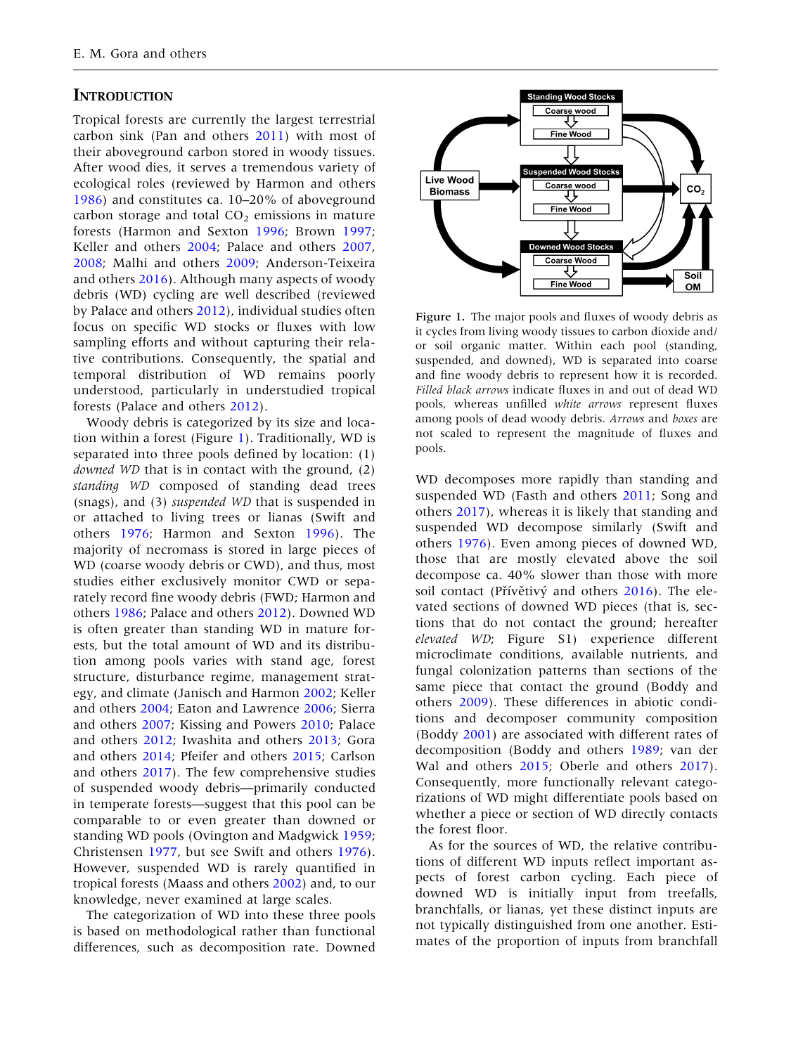## **INTRODUCTION**

Tropical forests are currently the largest terrestrial carbon sink (Pan and others [2011\)](#page-16-0) with most of their aboveground carbon stored in woody tissues. After wood dies, it serves a tremendous variety of ecological roles (reviewed by Harmon and others [1986\)](#page-15-0) and constitutes ca. 10–20% of aboveground carbon storage and total  $CO<sub>2</sub>$  emissions in mature forests (Harmon and Sexton [1996;](#page-15-0) Brown [1997](#page-14-0); Keller and others [2004;](#page-15-0) Palace and others [2007](#page-16-0), [2008;](#page-16-0) Malhi and others [2009;](#page-16-0) Anderson-Teixeira and others [2016](#page-14-0)). Although many aspects of woody debris (WD) cycling are well described (reviewed by Palace and others [2012\)](#page-16-0), individual studies often focus on specific WD stocks or fluxes with low sampling efforts and without capturing their relative contributions. Consequently, the spatial and temporal distribution of WD remains poorly understood, particularly in understudied tropical forests (Palace and others [2012\)](#page-16-0).

Woody debris is categorized by its size and location within a forest (Figure 1). Traditionally, WD is separated into three pools defined by location: (1) downed WD that is in contact with the ground, (2) standing WD composed of standing dead trees (snags), and (3) suspended WD that is suspended in or attached to living trees or lianas (Swift and others [1976](#page-16-0); Harmon and Sexton [1996](#page-15-0)). The majority of necromass is stored in large pieces of WD (coarse woody debris or CWD), and thus, most studies either exclusively monitor CWD or separately record fine woody debris (FWD; Harmon and others [1986](#page-15-0); Palace and others [2012](#page-16-0)). Downed WD is often greater than standing WD in mature forests, but the total amount of WD and its distribution among pools varies with stand age, forest structure, disturbance regime, management strategy, and climate (Janisch and Harmon [2002;](#page-15-0) Keller and others [2004](#page-15-0); Eaton and Lawrence [2006](#page-15-0); Sierra and others [2007](#page-16-0); Kissing and Powers [2010;](#page-15-0) Palace and others [2012;](#page-16-0) Iwashita and others [2013](#page-15-0); Gora and others [2014;](#page-15-0) Pfeifer and others [2015;](#page-16-0) Carlson and others [2017](#page-14-0)). The few comprehensive studies of suspended woody debris—primarily conducted in temperate forests—suggest that this pool can be comparable to or even greater than downed or standing WD pools (Ovington and Madgwick [1959](#page-16-0); Christensen [1977](#page-14-0), but see Swift and others [1976](#page-16-0)). However, suspended WD is rarely quantified in tropical forests (Maass and others [2002\)](#page-15-0) and, to our knowledge, never examined at large scales.

The categorization of WD into these three pools is based on methodological rather than functional differences, such as decomposition rate. Downed



Figure 1. The major pools and fluxes of woody debris as it cycles from living woody tissues to carbon dioxide and/ or soil organic matter. Within each pool (standing, suspended, and downed), WD is separated into coarse and fine woody debris to represent how it is recorded. Filled black arrows indicate fluxes in and out of dead WD pools, whereas unfilled white arrows represent fluxes among pools of dead woody debris. Arrows and boxes are not scaled to represent the magnitude of fluxes and pools.

WD decomposes more rapidly than standing and suspended WD (Fasth and others [2011;](#page-15-0) Song and others [2017\)](#page-16-0), whereas it is likely that standing and suspended WD decompose similarly (Swift and others [1976](#page-16-0)). Even among pieces of downed WD, those that are mostly elevated above the soil decompose ca. 40% slower than those with more soil contact (Přívětivý and others [2016\)](#page-16-0). The elevated sections of downed WD pieces (that is, sections that do not contact the ground; hereafter elevated WD; Figure S1) experience different microclimate conditions, available nutrients, and fungal colonization patterns than sections of the same piece that contact the ground (Boddy and others [2009\)](#page-14-0). These differences in abiotic conditions and decomposer community composition (Boddy [2001\)](#page-14-0) are associated with different rates of decomposition (Boddy and others [1989](#page-14-0); van der Wal and others [2015](#page-16-0); Oberle and others [2017](#page-16-0)). Consequently, more functionally relevant categorizations of WD might differentiate pools based on whether a piece or section of WD directly contacts the forest floor.

As for the sources of WD, the relative contributions of different WD inputs reflect important aspects of forest carbon cycling. Each piece of downed WD is initially input from treefalls, branchfalls, or lianas, yet these distinct inputs are not typically distinguished from one another. Estimates of the proportion of inputs from branchfall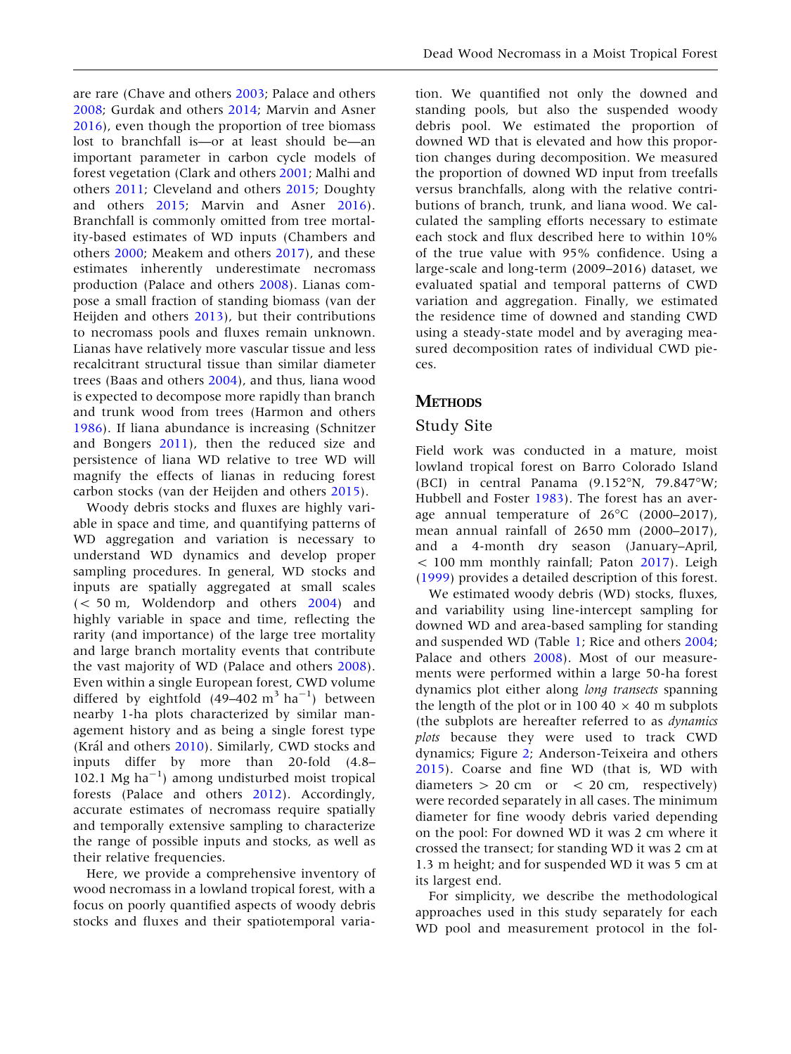are rare (Chave and others [2003;](#page-14-0) Palace and others [2008;](#page-16-0) Gurdak and others [2014](#page-15-0); Marvin and Asner [2016\)](#page-16-0), even though the proportion of tree biomass lost to branchfall is—or at least should be—an important parameter in carbon cycle models of forest vegetation (Clark and others [2001;](#page-14-0) Malhi and others [2011](#page-16-0); Cleveland and others [2015;](#page-15-0) Doughty and others [2015](#page-15-0); Marvin and Asner [2016](#page-16-0)). Branchfall is commonly omitted from tree mortality-based estimates of WD inputs (Chambers and others [2000;](#page-14-0) Meakem and others [2017\)](#page-16-0), and these estimates inherently underestimate necromass production (Palace and others [2008\)](#page-16-0). Lianas compose a small fraction of standing biomass (van der Heijden and others [2013\)](#page-16-0), but their contributions to necromass pools and fluxes remain unknown. Lianas have relatively more vascular tissue and less recalcitrant structural tissue than similar diameter trees (Baas and others [2004](#page-14-0)), and thus, liana wood is expected to decompose more rapidly than branch and trunk wood from trees (Harmon and others [1986\)](#page-15-0). If liana abundance is increasing (Schnitzer and Bongers [2011\)](#page-16-0), then the reduced size and persistence of liana WD relative to tree WD will magnify the effects of lianas in reducing forest carbon stocks (van der Heijden and others [2015\)](#page-16-0).

Woody debris stocks and fluxes are highly variable in space and time, and quantifying patterns of WD aggregation and variation is necessary to understand WD dynamics and develop proper sampling procedures. In general, WD stocks and inputs are spatially aggregated at small scales (< 50 m, Woldendorp and others [2004](#page-16-0)) and highly variable in space and time, reflecting the rarity (and importance) of the large tree mortality and large branch mortality events that contribute the vast majority of WD (Palace and others [2008](#page-16-0)). Even within a single European forest, CWD volume differed by eightfold  $(49-402 \text{ m}^3 \text{ ha}^{-1})$  between nearby 1-ha plots characterized by similar management history and as being a single forest type (Král and others [2010](#page-15-0)). Similarly, CWD stocks and inputs differ by more than 20-fold (4.8– 102.1 Mg ha<sup>-1</sup>) among undisturbed moist tropical forests (Palace and others [2012\)](#page-16-0). Accordingly, accurate estimates of necromass require spatially and temporally extensive sampling to characterize the range of possible inputs and stocks, as well as their relative frequencies.

Here, we provide a comprehensive inventory of wood necromass in a lowland tropical forest, with a focus on poorly quantified aspects of woody debris stocks and fluxes and their spatiotemporal varia-

tion. We quantified not only the downed and standing pools, but also the suspended woody debris pool. We estimated the proportion of downed WD that is elevated and how this proportion changes during decomposition. We measured the proportion of downed WD input from treefalls versus branchfalls, along with the relative contributions of branch, trunk, and liana wood. We calculated the sampling efforts necessary to estimate each stock and flux described here to within 10% of the true value with 95% confidence. Using a large-scale and long-term (2009–2016) dataset, we evaluated spatial and temporal patterns of CWD variation and aggregation. Finally, we estimated the residence time of downed and standing CWD using a steady-state model and by averaging measured decomposition rates of individual CWD pieces.

#### **METHODS**

#### Study Site

Field work was conducted in a mature, moist lowland tropical forest on Barro Colorado Island (BCI) in central Panama  $(9.152\text{°N}, 79.847\text{°W})$ ; Hubbell and Foster [1983](#page-15-0)). The forest has an average annual temperature of  $26^{\circ}$ C (2000–2017), mean annual rainfall of 2650 mm (2000–2017), and a 4-month dry season (January–April, < 100 mm monthly rainfall; Paton [2017\)](#page-16-0). Leigh ([1999\)](#page-15-0) provides a detailed description of this forest.

We estimated woody debris (WD) stocks, fluxes, and variability using line-intercept sampling for downed WD and area-based sampling for standing and suspended WD (Table [1;](#page-3-0) Rice and others [2004](#page-16-0); Palace and others [2008\)](#page-16-0). Most of our measurements were performed within a large 50-ha forest dynamics plot either along long transects spanning the length of the plot or in 100 40  $\times$  40 m subplots (the subplots are hereafter referred to as dynamics plots because they were used to track CWD dynamics; Figure [2;](#page-4-0) Anderson-Teixeira and others [2015\)](#page-14-0). Coarse and fine WD (that is, WD with diameters  $> 20$  cm or  $< 20$  cm, respectively) were recorded separately in all cases. The minimum diameter for fine woody debris varied depending on the pool: For downed WD it was 2 cm where it crossed the transect; for standing WD it was 2 cm at 1.3 m height; and for suspended WD it was 5 cm at its largest end.

For simplicity, we describe the methodological approaches used in this study separately for each WD pool and measurement protocol in the fol-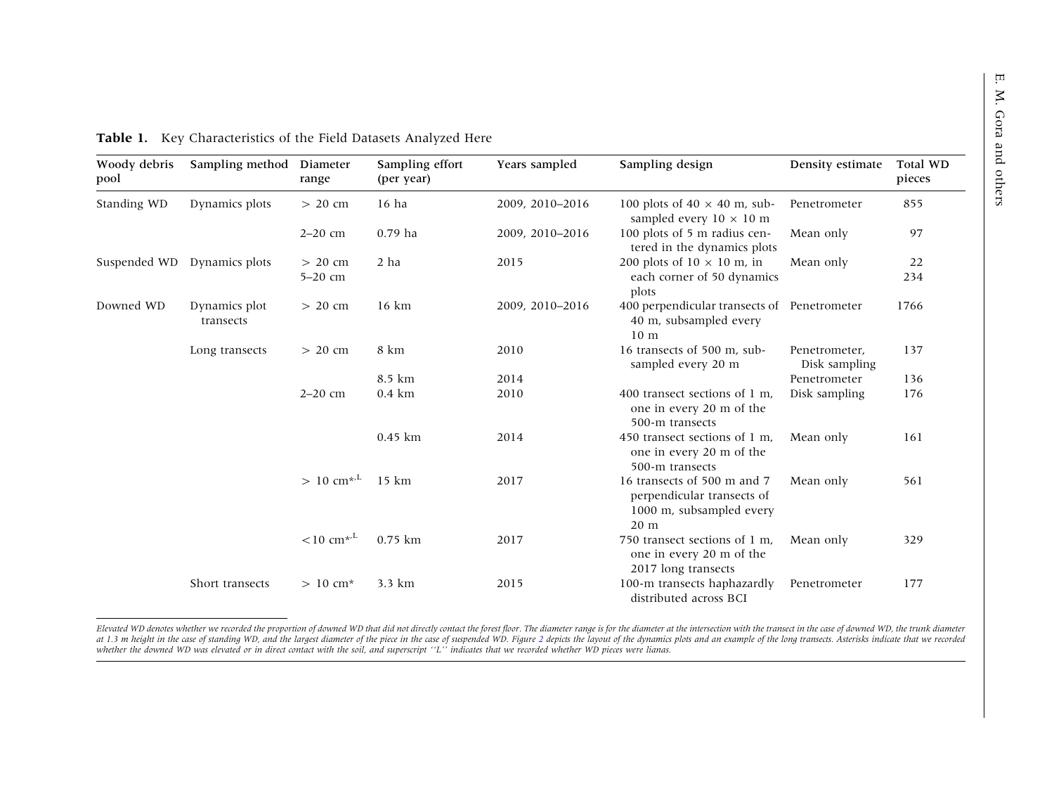| Woody debris<br>pool | Sampling method             | Diameter<br>range        | Sampling effort<br>(per year) | Years sampled   | Sampling design                                                                               | Density estimate               | Total WD<br>pieces |
|----------------------|-----------------------------|--------------------------|-------------------------------|-----------------|-----------------------------------------------------------------------------------------------|--------------------------------|--------------------|
| Standing WD          | Dynamics plots              | $> 20$ cm                | $16$ ha                       | 2009, 2010-2016 | 100 plots of 40 $\times$ 40 m, sub-<br>sampled every $10 \times 10$ m                         | Penetrometer                   | 855                |
|                      |                             | $2-20$ cm                | $0.79$ ha                     | 2009, 2010-2016 | 100 plots of 5 m radius cen-<br>tered in the dynamics plots                                   | Mean only                      | 97                 |
|                      | Suspended WD Dynamics plots | $> 20$ cm                | 2 ha                          | 2015            | 200 plots of $10 \times 10$ m, in                                                             | Mean only                      | 22                 |
|                      |                             | $5-20$ cm                |                               |                 | each corner of 50 dynamics<br>plots                                                           |                                | 234                |
| Downed WD            | Dynamics plot<br>transects  | $> 20$ cm                | $16 \text{ km}$               | 2009, 2010-2016 | 400 perpendicular transects of Penetrometer<br>40 m, subsampled every<br>10 <sub>m</sub>      |                                | 1766               |
|                      | Long transects              | $> 20$ cm                | 8 km                          | 2010            | 16 transects of 500 m, sub-<br>sampled every 20 m                                             | Penetrometer,<br>Disk sampling | 137                |
|                      |                             |                          | 8.5 km                        | 2014            |                                                                                               | Penetrometer                   | 136                |
|                      |                             | $2 - 20$ cm              | $0.4 \text{ km}$              | 2010            | 400 transect sections of 1 m.<br>one in every 20 m of the<br>500-m transects                  | Disk sampling                  | 176                |
|                      |                             |                          | $0.45$ km                     | 2014            | 450 transect sections of 1 m.<br>one in every 20 m of the<br>500-m transects                  | Mean only                      | 161                |
|                      |                             | $> 10$ cm <sup>*/L</sup> | $15 \text{ km}$               | 2017            | 16 transects of 500 m and 7<br>perpendicular transects of<br>1000 m, subsampled every<br>20 m | Mean only                      | 561                |
|                      |                             | $< 10$ cm <sup>*/L</sup> | $0.75$ km                     | 2017            | 750 transect sections of 1 m.<br>one in every 20 m of the<br>2017 long transects              | Mean only                      | 329                |
|                      | Short transects             | $> 10$ cm <sup>*</sup>   | 3.3 km                        | 2015            | 100-m transects haphazardly<br>distributed across BCI                                         | Penetrometer                   | 177                |

<span id="page-3-0"></span>

|  |  |  | Table 1. Key Characteristics of the Field Datasets Analyzed Here |  |  |  |  |  |
|--|--|--|------------------------------------------------------------------|--|--|--|--|--|
|--|--|--|------------------------------------------------------------------|--|--|--|--|--|

Elevated WD denotes whether we recorded the proportion of downed WD that did not directly contact the forest floor. The diameter range is for the diameter at the intersection with the transect in the case of downed WD, the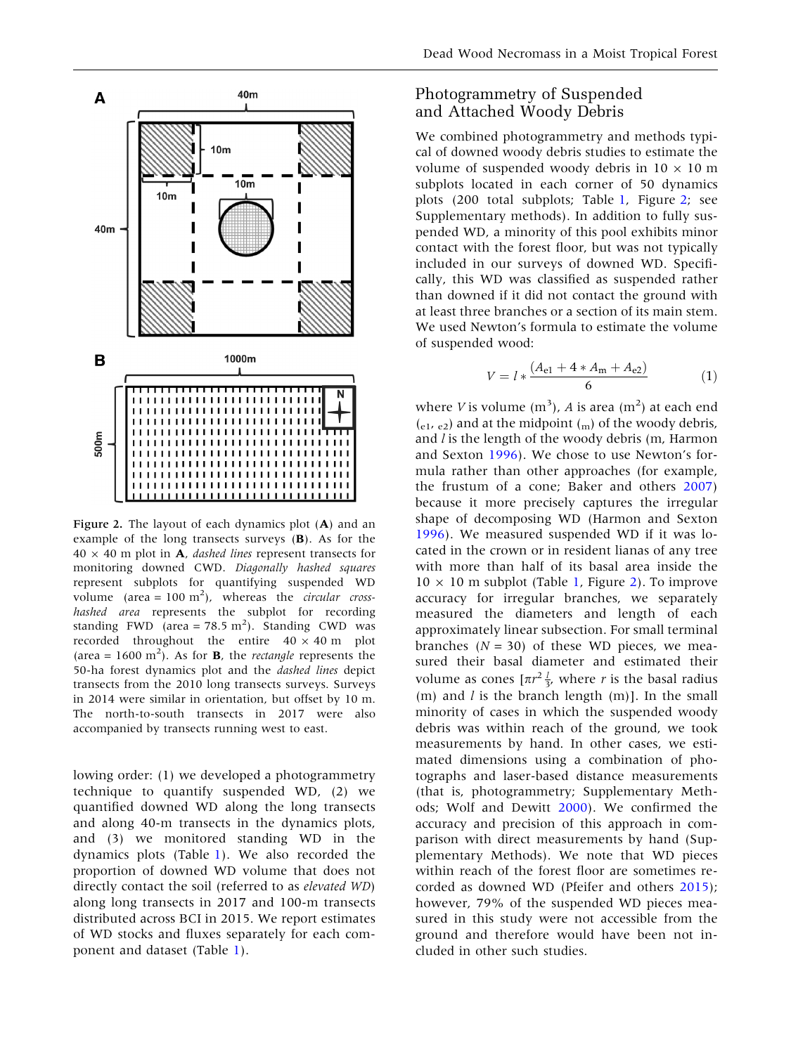<span id="page-4-0"></span>

Figure 2. The layout of each dynamics plot (A) and an example of the long transects surveys (B). As for the  $40 \times 40$  m plot in **A**, dashed lines represent transects for monitoring downed CWD. Diagonally hashed squares represent subplots for quantifying suspended WD volume (area =  $100 \text{ m}^2$ ), whereas the *circular cross*hashed area represents the subplot for recording standing FWD (area = 78.5 m<sup>2</sup>). Standing CWD was recorded throughout the entire  $40 \times 40$  m plot (area =  $1600 \text{ m}^2$ ). As for **B**, the *rectangle* represents the 50-ha forest dynamics plot and the *dashed lines* depict transects from the 2010 long transects surveys. Surveys in 2014 were similar in orientation, but offset by 10 m. The north-to-south transects in 2017 were also accompanied by transects running west to east.

lowing order: (1) we developed a photogrammetry technique to quantify suspended WD, (2) we quantified downed WD along the long transects and along 40-m transects in the dynamics plots, and (3) we monitored standing WD in the dynamics plots (Table [1](#page-3-0)). We also recorded the proportion of downed WD volume that does not directly contact the soil (referred to as elevated WD) along long transects in 2017 and 100-m transects distributed across BCI in 2015. We report estimates of WD stocks and fluxes separately for each component and dataset (Table [1](#page-3-0)).

## Photogrammetry of Suspended and Attached Woody Debris

We combined photogrammetry and methods typical of downed woody debris studies to estimate the volume of suspended woody debris in  $10 \times 10$  m subplots located in each corner of 50 dynamics plots (200 total subplots; Table [1](#page-3-0), Figure 2; see Supplementary methods). In addition to fully suspended WD, a minority of this pool exhibits minor contact with the forest floor, but was not typically included in our surveys of downed WD. Specifically, this WD was classified as suspended rather than downed if it did not contact the ground with at least three branches or a section of its main stem. We used Newton's formula to estimate the volume of suspended wood:

$$
V = l * \frac{(A_{e1} + 4 * A_m + A_{e2})}{6} \tag{1}
$$

where *V* is volume (m<sup>3</sup>), *A* is area (m<sup>2</sup>) at each end  $(e_1, e_2)$  and at the midpoint  $\binom{m}{m}$  of the woody debris, and  $l$  is the length of the woody debris (m, Harmon and Sexton [1996\)](#page-15-0). We chose to use Newton's formula rather than other approaches (for example, the frustum of a cone; Baker and others [2007](#page-14-0)) because it more precisely captures the irregular shape of decomposing WD (Harmon and Sexton [1996\)](#page-15-0). We measured suspended WD if it was located in the crown or in resident lianas of any tree with more than half of its basal area inside the  $10 \times 10$  m subplot (Table [1,](#page-3-0) Figure 2). To improve accuracy for irregular branches, we separately measured the diameters and length of each approximately linear subsection. For small terminal branches  $(N = 30)$  of these WD pieces, we measured their basal diameter and estimated their volume as cones  $[\pi r^2 \frac{l}{3}]$ , where r is the basal radius (m) and  $l$  is the branch length (m)]. In the small minority of cases in which the suspended woody debris was within reach of the ground, we took measurements by hand. In other cases, we estimated dimensions using a combination of photographs and laser-based distance measurements (that is, photogrammetry; Supplementary Methods; Wolf and Dewitt [2000](#page-16-0)). We confirmed the accuracy and precision of this approach in comparison with direct measurements by hand (Supplementary Methods). We note that WD pieces within reach of the forest floor are sometimes recorded as downed WD (Pfeifer and others [2015](#page-16-0)); however, 79% of the suspended WD pieces measured in this study were not accessible from the ground and therefore would have been not included in other such studies.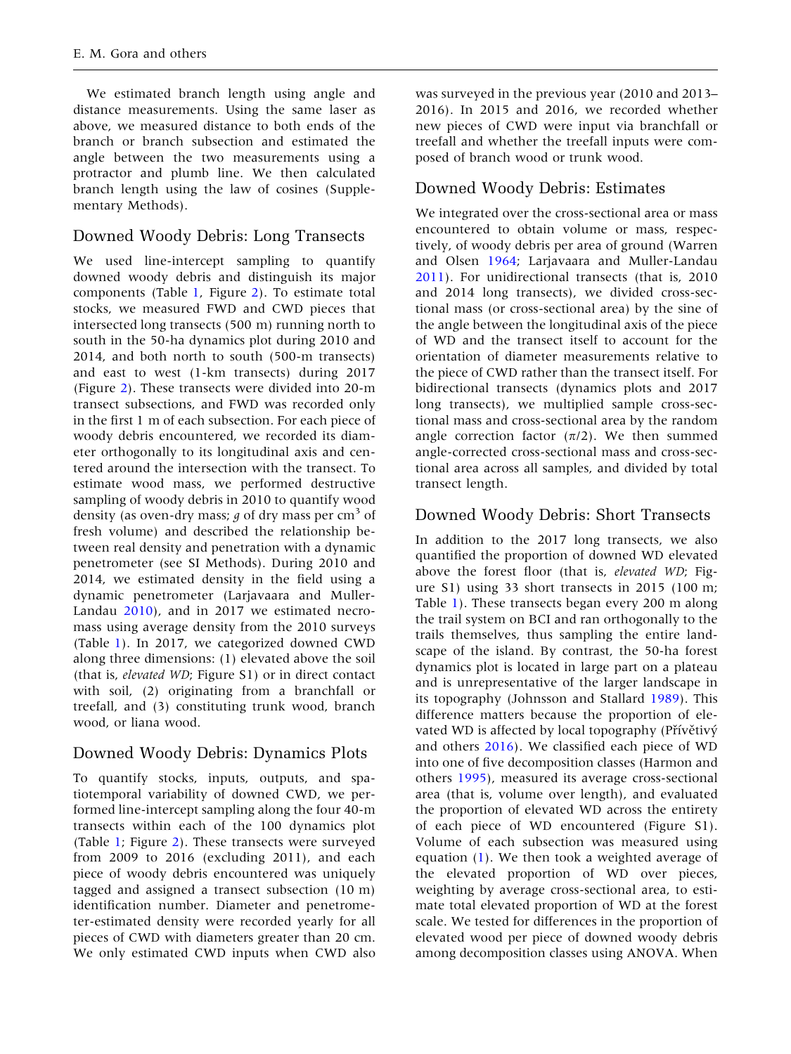We estimated branch length using angle and distance measurements. Using the same laser as above, we measured distance to both ends of the branch or branch subsection and estimated the angle between the two measurements using a protractor and plumb line. We then calculated branch length using the law of cosines (Supplementary Methods).

# Downed Woody Debris: Long Transects

We used line-intercept sampling to quantify downed woody debris and distinguish its major components (Table [1,](#page-3-0) Figure [2](#page-4-0)). To estimate total stocks, we measured FWD and CWD pieces that intersected long transects (500 m) running north to south in the 50-ha dynamics plot during 2010 and 2014, and both north to south (500-m transects) and east to west (1-km transects) during 2017 (Figure [2\)](#page-4-0). These transects were divided into 20-m transect subsections, and FWD was recorded only in the first 1 m of each subsection. For each piece of woody debris encountered, we recorded its diameter orthogonally to its longitudinal axis and centered around the intersection with the transect. To estimate wood mass, we performed destructive sampling of woody debris in 2010 to quantify wood density (as oven-dry mass;  $q$  of dry mass per cm<sup>3</sup> of fresh volume) and described the relationship between real density and penetration with a dynamic penetrometer (see SI Methods). During 2010 and 2014, we estimated density in the field using a dynamic penetrometer (Larjavaara and Muller-Landau [2010\)](#page-15-0), and in 2017 we estimated necromass using average density from the 2010 surveys (Table [1](#page-3-0)). In 2017, we categorized downed CWD along three dimensions: (1) elevated above the soil (that is, elevated WD; Figure S1) or in direct contact with soil, (2) originating from a branchfall or treefall, and (3) constituting trunk wood, branch wood, or liana wood.

# Downed Woody Debris: Dynamics Plots

To quantify stocks, inputs, outputs, and spatiotemporal variability of downed CWD, we performed line-intercept sampling along the four 40-m transects within each of the 100 dynamics plot (Table [1](#page-3-0); Figure [2\)](#page-4-0). These transects were surveyed from 2009 to 2016 (excluding 2011), and each piece of woody debris encountered was uniquely tagged and assigned a transect subsection (10 m) identification number. Diameter and penetrometer-estimated density were recorded yearly for all pieces of CWD with diameters greater than 20 cm. We only estimated CWD inputs when CWD also was surveyed in the previous year (2010 and 2013– 2016). In 2015 and 2016, we recorded whether new pieces of CWD were input via branchfall or treefall and whether the treefall inputs were composed of branch wood or trunk wood.

# Downed Woody Debris: Estimates

We integrated over the cross-sectional area or mass encountered to obtain volume or mass, respectively, of woody debris per area of ground (Warren and Olsen [1964](#page-16-0); Larjavaara and Muller-Landau [2011\)](#page-15-0). For unidirectional transects (that is, 2010 and 2014 long transects), we divided cross-sectional mass (or cross-sectional area) by the sine of the angle between the longitudinal axis of the piece of WD and the transect itself to account for the orientation of diameter measurements relative to the piece of CWD rather than the transect itself. For bidirectional transects (dynamics plots and 2017 long transects), we multiplied sample cross-sectional mass and cross-sectional area by the random angle correction factor  $(\pi/2)$ . We then summed angle-corrected cross-sectional mass and cross-sectional area across all samples, and divided by total transect length.

# Downed Woody Debris: Short Transects

In addition to the 2017 long transects, we also quantified the proportion of downed WD elevated above the forest floor (that is, elevated WD; Figure S1) using 33 short transects in 2015 (100 m; Table [1](#page-3-0)). These transects began every 200 m along the trail system on BCI and ran orthogonally to the trails themselves, thus sampling the entire landscape of the island. By contrast, the 50-ha forest dynamics plot is located in large part on a plateau and is unrepresentative of the larger landscape in its topography (Johnsson and Stallard [1989](#page-15-0)). This difference matters because the proportion of elevated WD is affected by local topography (Přívětivý and others [2016\)](#page-16-0). We classified each piece of WD into one of five decomposition classes (Harmon and others [1995](#page-15-0)), measured its average cross-sectional area (that is, volume over length), and evaluated the proportion of elevated WD across the entirety of each piece of WD encountered (Figure S1). Volume of each subsection was measured using equation [\(1](#page-4-0)). We then took a weighted average of the elevated proportion of WD over pieces, weighting by average cross-sectional area, to estimate total elevated proportion of WD at the forest scale. We tested for differences in the proportion of elevated wood per piece of downed woody debris among decomposition classes using ANOVA. When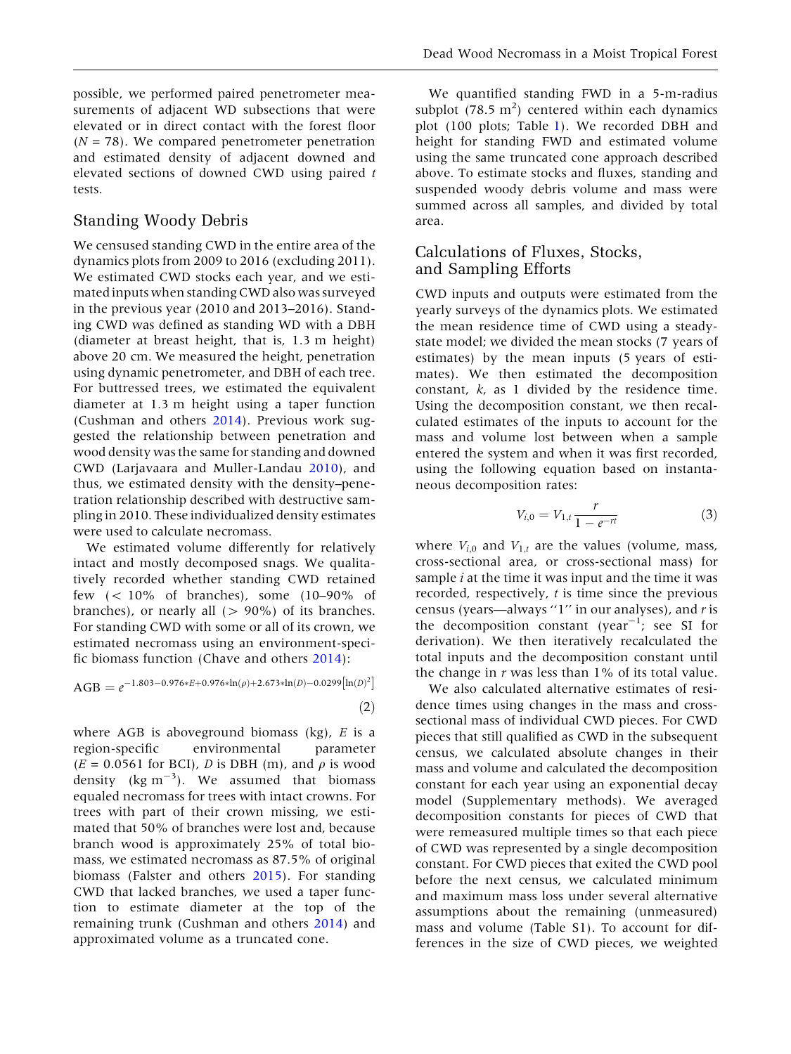possible, we performed paired penetrometer measurements of adjacent WD subsections that were elevated or in direct contact with the forest floor  $(N = 78)$ . We compared penetrometer penetration and estimated density of adjacent downed and elevated sections of downed CWD using paired t tests.

## Standing Woody Debris

We censused standing CWD in the entire area of the dynamics plots from 2009 to 2016 (excluding 2011). We estimated CWD stocks each year, and we estimated inputs when standing CWD also was surveyed in the previous year (2010 and 2013–2016). Standing CWD was defined as standing WD with a DBH (diameter at breast height, that is, 1.3 m height) above 20 cm. We measured the height, penetration using dynamic penetrometer, and DBH of each tree. For buttressed trees, we estimated the equivalent diameter at 1.3 m height using a taper function (Cushman and others [2014\)](#page-15-0). Previous work suggested the relationship between penetration and wood density was the same for standing and downed CWD (Larjavaara and Muller-Landau [2010\)](#page-15-0), and thus, we estimated density with the density–penetration relationship described with destructive sampling in 2010. These individualized density estimates were used to calculate necromass.

We estimated volume differently for relatively intact and mostly decomposed snags. We qualitatively recorded whether standing CWD retained few  $(< 10\%$  of branches), some  $(10-90\%$  of branches), or nearly all  $(> 90\%)$  of its branches. For standing CWD with some or all of its crown, we estimated necromass using an environment-specific biomass function (Chave and others [2014\)](#page-14-0):

$$
AGB = e^{-1.803 - 0.976*E + 0.976*ln(\rho) + 2.673*ln(D) - 0.0299 [ln(D)2]} (2)
$$

where AGB is aboveground biomass  $(kg)$ , E is a region-specific environmental parameter  $(E = 0.0561$  for BCI), *D* is DBH (m), and  $\rho$  is wood density ( $\text{kg m}^{-3}$ ). We assumed that biomass equaled necromass for trees with intact crowns. For trees with part of their crown missing, we estimated that 50% of branches were lost and, because branch wood is approximately 25% of total biomass, we estimated necromass as 87.5% of original biomass (Falster and others [2015\)](#page-15-0). For standing CWD that lacked branches, we used a taper function to estimate diameter at the top of the remaining trunk (Cushman and others [2014\)](#page-15-0) and approximated volume as a truncated cone.

We quantified standing FWD in a 5-m-radius subplot  $(78.5 \text{ m}^2)$  centered within each dynamics plot (100 plots; Table [1\)](#page-3-0). We recorded DBH and height for standing FWD and estimated volume using the same truncated cone approach described above. To estimate stocks and fluxes, standing and suspended woody debris volume and mass were summed across all samples, and divided by total area.

## Calculations of Fluxes, Stocks, and Sampling Efforts

CWD inputs and outputs were estimated from the yearly surveys of the dynamics plots. We estimated the mean residence time of CWD using a steadystate model; we divided the mean stocks (7 years of estimates) by the mean inputs (5 years of estimates). We then estimated the decomposition constant, k, as 1 divided by the residence time. Using the decomposition constant, we then recalculated estimates of the inputs to account for the mass and volume lost between when a sample entered the system and when it was first recorded, using the following equation based on instantaneous decomposition rates:

$$
V_{i,0} = V_{1,t} \frac{r}{1 - e^{-rt}} \tag{3}
$$

where  $V_{i,0}$  and  $V_{1,t}$  are the values (volume, mass, cross-sectional area, or cross-sectional mass) for sample  $i$  at the time it was input and the time it was recorded, respectively,  $t$  is time since the previous census (years—always "1" in our analyses), and  $r$  is the decomposition constant (year<sup>-1</sup>; see SI for derivation). We then iteratively recalculated the total inputs and the decomposition constant until the change in  $r$  was less than  $1\%$  of its total value.

We also calculated alternative estimates of residence times using changes in the mass and crosssectional mass of individual CWD pieces. For CWD pieces that still qualified as CWD in the subsequent census, we calculated absolute changes in their mass and volume and calculated the decomposition constant for each year using an exponential decay model (Supplementary methods). We averaged decomposition constants for pieces of CWD that were remeasured multiple times so that each piece of CWD was represented by a single decomposition constant. For CWD pieces that exited the CWD pool before the next census, we calculated minimum and maximum mass loss under several alternative assumptions about the remaining (unmeasured) mass and volume (Table S1). To account for differences in the size of CWD pieces, we weighted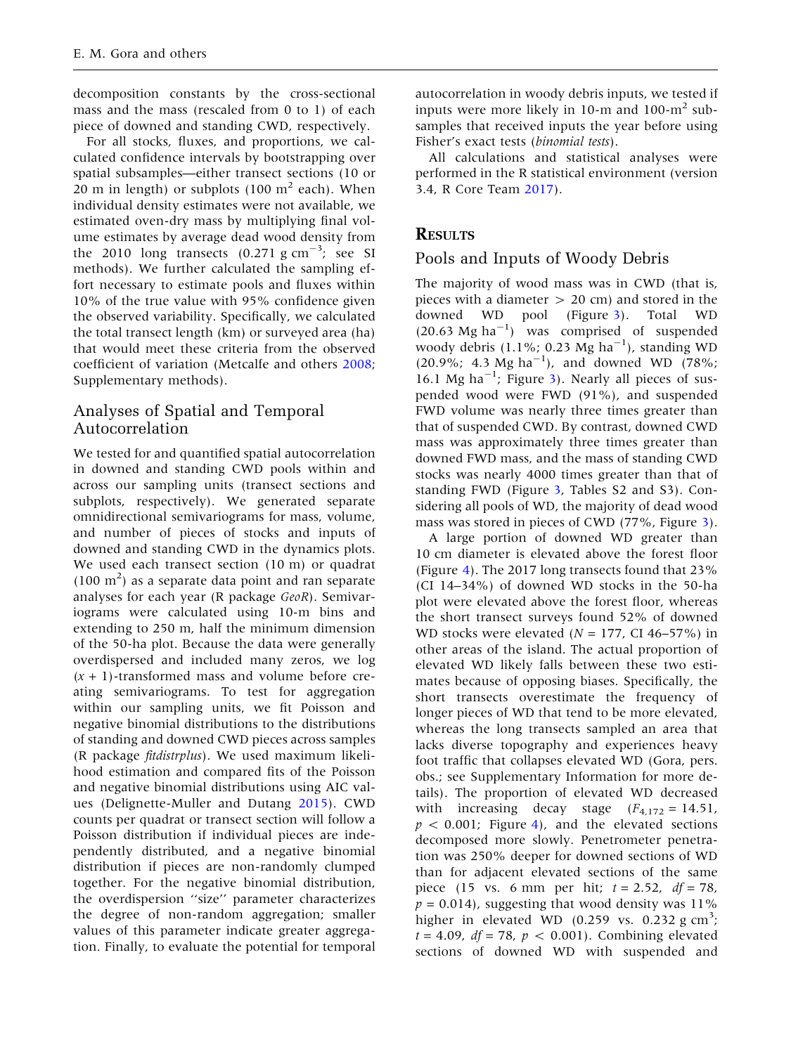decomposition constants by the cross-sectional mass and the mass (rescaled from 0 to 1) of each piece of downed and standing CWD, respectively.

For all stocks, fluxes, and proportions, we calculated confidence intervals by bootstrapping over spatial subsamples—either transect sections (10 or 20 m in length) or subplots  $(100 \text{ m}^2 \text{ each})$ . When individual density estimates were not available, we estimated oven-dry mass by multiplying final volume estimates by average dead wood density from the 2010 long transects  $(0.271 \text{ g cm}^{-3})$ ; see SI methods). We further calculated the sampling effort necessary to estimate pools and fluxes within 10% of the true value with 95% confidence given the observed variability. Specifically, we calculated the total transect length (km) or surveyed area (ha) that would meet these criteria from the observed coefficient of variation (Metcalfe and others [2008](#page-16-0); Supplementary methods).

# Analyses of Spatial and Temporal Autocorrelation

We tested for and quantified spatial autocorrelation in downed and standing CWD pools within and across our sampling units (transect sections and subplots, respectively). We generated separate omnidirectional semivariograms for mass, volume, and number of pieces of stocks and inputs of downed and standing CWD in the dynamics plots. We used each transect section (10 m) or quadrat  $(100 \text{ m}^2)$  as a separate data point and ran separate analyses for each year (R package GeoR). Semivariograms were calculated using 10-m bins and extending to 250 m, half the minimum dimension of the 50-ha plot. Because the data were generally overdispersed and included many zeros, we log  $(x + 1)$ -transformed mass and volume before creating semivariograms. To test for aggregation within our sampling units, we fit Poisson and negative binomial distributions to the distributions of standing and downed CWD pieces across samples (R package fitdistrplus). We used maximum likelihood estimation and compared fits of the Poisson and negative binomial distributions using AIC values (Delignette-Muller and Dutang [2015](#page-15-0)). CWD counts per quadrat or transect section will follow a Poisson distribution if individual pieces are independently distributed, and a negative binomial distribution if pieces are non-randomly clumped together. For the negative binomial distribution, the overdispersion ''size'' parameter characterizes the degree of non-random aggregation; smaller values of this parameter indicate greater aggregation. Finally, to evaluate the potential for temporal

autocorrelation in woody debris inputs, we tested if inputs were more likely in 10-m and 100- $m<sup>2</sup>$  subsamples that received inputs the year before using Fisher's exact tests (binomial tests).

All calculations and statistical analyses were performed in the R statistical environment (version 3.4, R Core Team [2017\)](#page-16-0).

# **RESULTS**

## Pools and Inputs of Woody Debris

The majority of wood mass was in CWD (that is, pieces with a diameter  $> 20$  cm) and stored in the downed WD pool (Figure [3\)](#page-8-0). Total WD  $(20.63 \text{ Mg ha}^{-1})$  was comprised of suspended woody debris (1.1%; 0.23 Mg ha<sup>-1</sup>), standing WD  $(20.9\%; 4.3 \text{ Mg ha}^{-1})$ , and downed WD (78%; 16.1 Mg ha $^{-1}$ ; Figure [3\)](#page-8-0). Nearly all pieces of suspended wood were FWD (91%), and suspended FWD volume was nearly three times greater than that of suspended CWD. By contrast, downed CWD mass was approximately three times greater than downed FWD mass, and the mass of standing CWD stocks was nearly 4000 times greater than that of standing FWD (Figure [3](#page-8-0), Tables S2 and S3). Considering all pools of WD, the majority of dead wood mass was stored in pieces of CWD (77%, Figure [3](#page-8-0)).

A large portion of downed WD greater than 10 cm diameter is elevated above the forest floor (Figure [4\)](#page-8-0). The 2017 long transects found that 23% (CI 14–34%) of downed WD stocks in the 50-ha plot were elevated above the forest floor, whereas the short transect surveys found 52% of downed WD stocks were elevated ( $N = 177$ , CI 46–57%) in other areas of the island. The actual proportion of elevated WD likely falls between these two estimates because of opposing biases. Specifically, the short transects overestimate the frequency of longer pieces of WD that tend to be more elevated, whereas the long transects sampled an area that lacks diverse topography and experiences heavy foot traffic that collapses elevated WD (Gora, pers. obs.; see Supplementary Information for more details). The proportion of elevated WD decreased with increasing decay stage  $(F_{4,172} = 14.51)$ ,  $p < 0.001$ ; Figure [4\)](#page-8-0), and the elevated sections decomposed more slowly. Penetrometer penetration was 250% deeper for downed sections of WD than for adjacent elevated sections of the same piece (15 vs. 6 mm per hit;  $t = 2.52$ ,  $df = 78$ ,  $p = 0.014$ ), suggesting that wood density was 11% higher in elevated WD  $(0.259 \text{ vs. } 0.232 \text{ g cm}^3)$ ;  $t = 4.09$ ,  $df = 78$ ,  $p < 0.001$ ). Combining elevated sections of downed WD with suspended and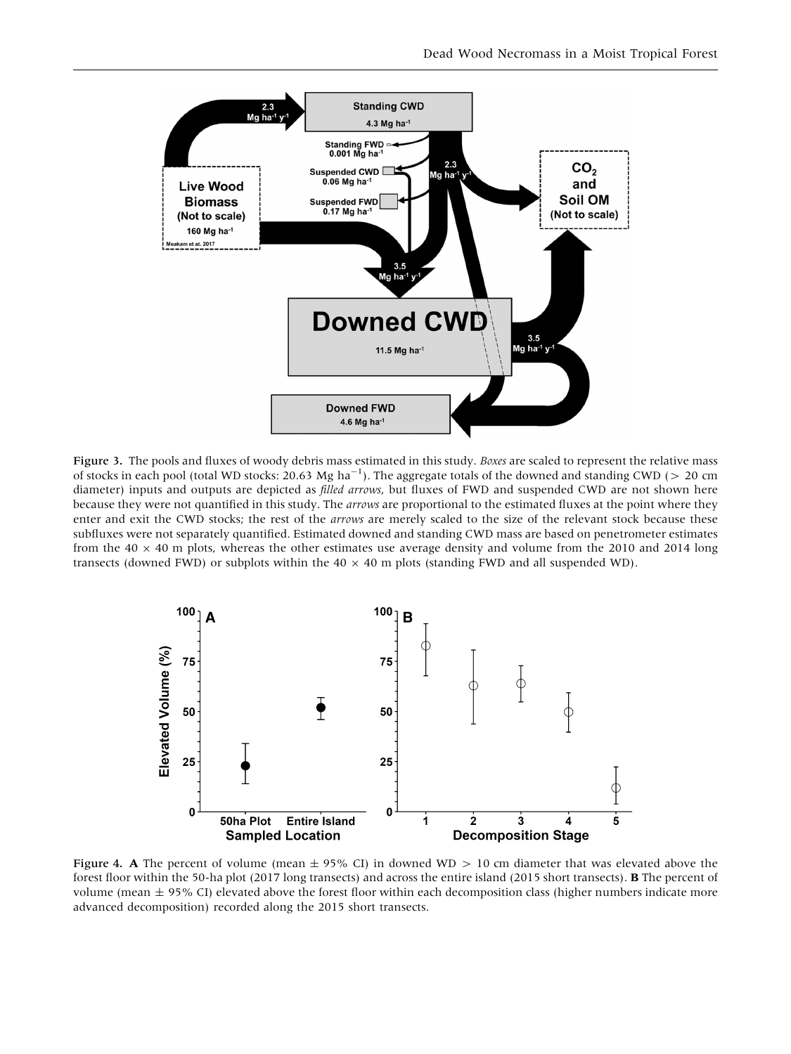<span id="page-8-0"></span>

Figure 3. The pools and fluxes of woody debris mass estimated in this study. Boxes are scaled to represent the relative mass of stocks in each pool (total WD stocks: 20.63 Mg ha<sup>-1</sup>). The aggregate totals of the downed and standing CWD ( $> 20$  cm diameter) inputs and outputs are depicted as *filled arrows*, but fluxes of FWD and suspended CWD are not shown here because they were not quantified in this study. The arrows are proportional to the estimated fluxes at the point where they enter and exit the CWD stocks; the rest of the *arrows* are merely scaled to the size of the relevant stock because these subfluxes were not separately quantified. Estimated downed and standing CWD mass are based on penetrometer estimates from the  $40 \times 40$  m plots, whereas the other estimates use average density and volume from the 2010 and 2014 long transects (downed FWD) or subplots within the  $40 \times 40$  m plots (standing FWD and all suspended WD).



Figure 4. A The percent of volume (mean  $\pm$  95% CI) in downed WD  $> 10$  cm diameter that was elevated above the forest floor within the 50-ha plot (2017 long transects) and across the entire island (2015 short transects). B The percent of volume (mean  $\pm$  95% CI) elevated above the forest floor within each decomposition class (higher numbers indicate more advanced decomposition) recorded along the 2015 short transects.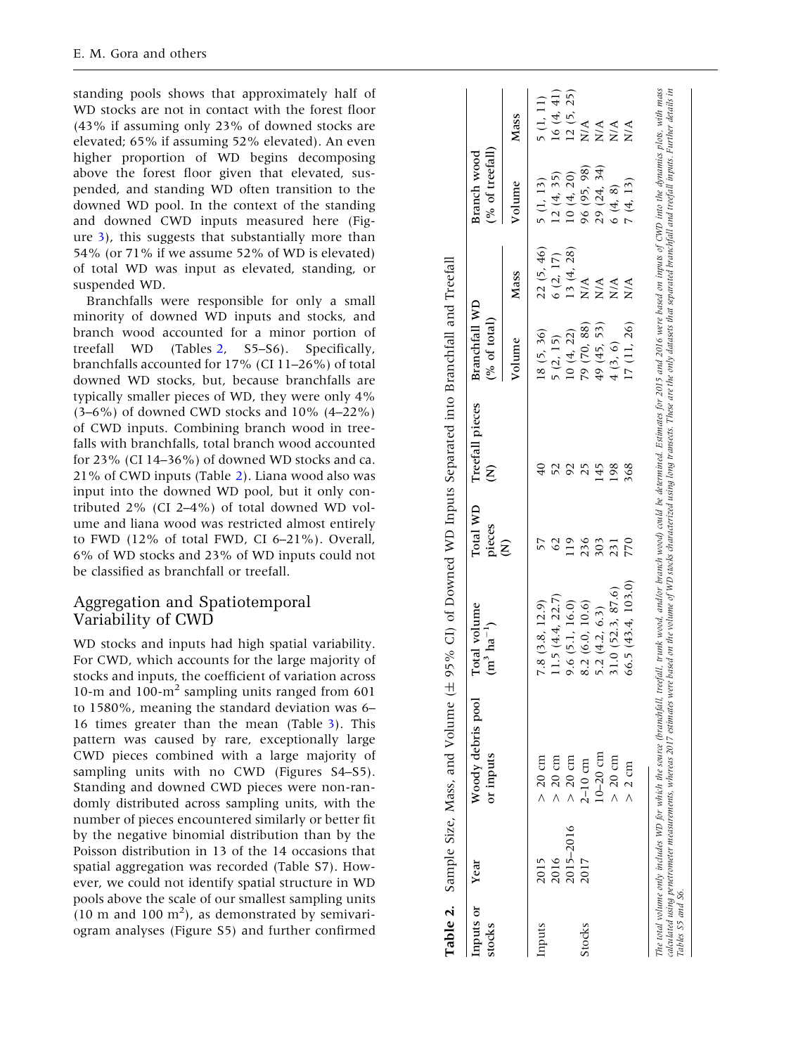standing pools shows that approximately half of WD stocks are not in contact with the forest floor (43% if assuming only 23% of downed stocks are elevated; 65% if assuming 52% elevated). An even higher proportion of WD begins decomposing above the forest floor given that elevated, suspended, and standing WD often transition to the downed WD pool. In the context of the standing and downed CWD inputs measured here (Figure [3\)](#page-8-0), this suggests that substantially more than 54% (or 71% if we assume 52% of WD is elevated) of total WD was input as elevated, standing, or suspended WD.

Branchfalls were responsible for only a small minority of downed WD inputs and stocks, and branch wood accounted for a minor portion of treefall WD (Tables S5–S6). Specifically, branchfalls accounted for 17% (CI 11–26%) of total downed WD stocks, but, because branchfalls are typically smaller pieces of WD, they were only 4%  $(3-6%)$  of downed CWD stocks and  $10%$   $(4-22%)$ of CWD inputs. Combining branch wood in treefalls with branchfalls, total branch wood accounted for 23% (CI 14–36%) of downed WD stocks and ca. 21% of CWD inputs (Table 2). Liana wood also was input into the downed WD pool, but it only contributed 2% (CI 2–4%) of total downed WD volume and liana wood was restricted almost entirely to FWD (12% of total FWD, CI 6–21%). Overall, 6% of WD stocks and 23% of WD inputs could not be classified as branchfall or treefall.

#### Aggregation and Spatiotemporal Variability of CWD

WD stocks and inputs had high spatial variability. For CWD, which accounts for the large majority of stocks and inputs, the coefficient of variation across 10-m and 100-m <sup>2</sup> sampling units ranged from 601 to 1580%, meaning the standard deviation was 6– 16 times greater than the mean (Table [3](#page-10-0)). This pattern was caused by rare, exceptionally large CWD pieces combined with a large majority of sampling units with no CWD (Figures S4–S5). Standing and downed CWD pieces were non-randomly distributed across sampling units, with the number of pieces encountered similarly or better fit by the negative binomial distribution than by the Poisson distribution in 13 of the 14 occasions that spatial aggregation was recorded (Table S7). However, we could not identify spatial structure in WD pools above the scale of our smallest sampling units  $(10 \text{ m and } 100 \text{ m}^2)$ , as demonstrated by semivariogram analyses (Figure S5) and further confirmed

| Inputs or<br>stocks | Year      | Woody debris pool<br>or inputs | Total volume<br>$(m^3 \text{ ha}^{-1})$ | Total WD<br>pieces | Treefall pieces<br>Ê | <b>Branchfall WD</b><br>(% of total) |                              | (% of treefall)<br>Branch wood |           |
|---------------------|-----------|--------------------------------|-----------------------------------------|--------------------|----------------------|--------------------------------------|------------------------------|--------------------------------|-----------|
|                     |           |                                |                                         | Ê                  |                      | Volume                               | Mass                         | Volume                         | Mass      |
| mputs               | 2015      | $> 20$ cm                      | 7.8(3.8, 12.9)                          |                    |                      | 18(5, 36)                            | 22(5, 46)                    | 5(1, 13)                       | 5(1, 11)  |
|                     | 2016      | $> 20$ cm                      | 1.5(4.4, 22.7)                          |                    |                      | 5(2, 15)                             | 6(2, 17)                     | 12(4, 35)                      | 16(4, 41) |
|                     | 2015-2016 | $> 20$ cm                      | 9.6(5.1, 16.0)                          | 119                |                      | 10(4, 22)                            | 13(4, 28)                    | 10(4, 20)                      | 12(5, 25) |
| Stocks              | 2017      | $2-10$ cm                      | 8.2(6.0, 10.6)                          | 236                | 25                   | 79 (70, 88)                          | $\stackrel{\triangle}{N}$    | 96 (95, 98)                    | N/A       |
|                     |           | $10 - 20$ cm                   | 5.2 $(4.2, 6.3)$                        | 303                | $\frac{45}{5}$       | 49 (45, 53)                          | N/A                          | 29 (24, 34)                    | N/A       |
|                     |           | $> 20$ cm                      | 31.0 (52.3, 87.6)                       | 231                | 198                  | 4(3, 6)                              | $\sum_{i=1}^{n}$             | 6(4, 8)                        | N/A       |
|                     |           | $> 2$ cm                       | 56.5(43.4, 103.0)                       | 770                | 368                  | 17(11, 26)                           | $\stackrel{\triangle}{\geq}$ | 7(4, 13)                       | N/A       |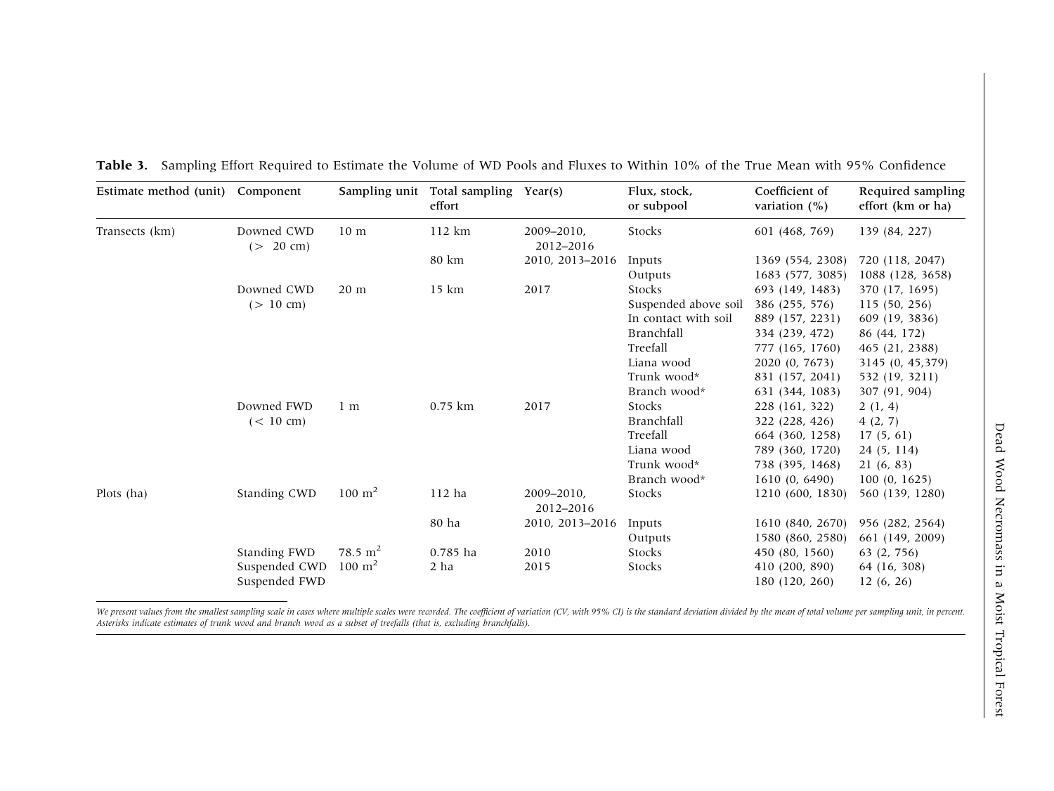| Estimate method (unit) Component |                         |                        | Sampling unit Total sampling Year(s)<br>effort |                         | Flux, stock,<br>or subpool | Coefficient of<br>variation $(%)$ | Required sampling<br>effort (km or ha) |
|----------------------------------|-------------------------|------------------------|------------------------------------------------|-------------------------|----------------------------|-----------------------------------|----------------------------------------|
| Transects (km)                   | Downed CWD<br>(> 20 cm) | 10 <sub>m</sub>        | 112 km                                         | 2009-2010.<br>2012-2016 | Stocks                     | 601 (468, 769)                    | 139 (84, 227)                          |
|                                  |                         |                        | 80 km                                          | 2010, 2013-2016         | Inputs                     | 1369 (554, 2308)                  | 720 (118, 2047)                        |
|                                  |                         |                        |                                                |                         | Outputs                    | 1683 (577, 3085)                  | 1088 (128, 3658)                       |
|                                  | Downed CWD              | 20 <sub>m</sub>        | 15 km                                          | 2017                    | Stocks                     | 693 (149, 1483)                   | 370 (17, 1695)                         |
|                                  | (> 10 cm)               |                        |                                                |                         | Suspended above soil       | 386 (255, 576)                    | 115 (50, 256)                          |
|                                  |                         |                        |                                                |                         | In contact with soil       | 889 (157, 2231)                   | 609 (19, 3836)                         |
|                                  |                         |                        |                                                |                         | Branchfall                 | 334 (239, 472)                    | 86 (44, 172)                           |
|                                  |                         |                        |                                                |                         | Treefall                   | 777 (165, 1760)                   | 465 (21, 2388)                         |
|                                  |                         |                        |                                                |                         | Liana wood                 | 2020 (0, 7673)                    | 3145 (0, 45,379)                       |
|                                  |                         |                        |                                                |                         | Trunk wood*                | 831 (157, 2041)                   | 532 (19, 3211)                         |
|                                  |                         |                        |                                                |                         | Branch wood*               | 631 (344, 1083)                   | 307 (91, 904)                          |
|                                  | Downed FWD              | 1 <sub>m</sub>         | $0.75$ km                                      | 2017                    | Stocks                     | 228 (161, 322)                    | 2(1, 4)                                |
|                                  | $(< 10 \text{ cm})$     |                        |                                                |                         | Branchfall                 | 322 (228, 426)                    | 4(2, 7)                                |
|                                  |                         |                        |                                                |                         | Treefall                   | 664 (360, 1258)                   | 17(5, 61)                              |
|                                  |                         |                        |                                                |                         | Liana wood                 | 789 (360, 1720)                   | 24(5, 114)                             |
|                                  |                         |                        |                                                |                         | Trunk wood*                | 738 (395, 1468)                   | 21(6, 83)                              |
|                                  |                         |                        |                                                |                         | Branch wood*               | 1610(0, 6490)                     | 100(0, 1625)                           |
| Plots $(ha)$                     | Standing CWD            | $100 \text{ m}^2$      | 112 ha                                         | 2009-2010.<br>2012-2016 | Stocks                     | 1210 (600, 1830)                  | 560 (139, 1280)                        |
|                                  |                         |                        | 80 ha                                          | 2010, 2013-2016         | Inputs                     | 1610 (840, 2670)                  | 956 (282, 2564)                        |
|                                  |                         |                        |                                                |                         | Outputs                    | 1580 (860, 2580)                  | 661 (149, 2009)                        |
|                                  | Standing FWD            | $78.5 \; \mathrm{m}^2$ | 0.785 ha                                       | 2010                    | Stocks                     | 450 (80, 1560)                    | 63(2, 756)                             |
|                                  | Suspended CWD           | $100 \text{ m}^2$      | $2$ ha                                         | 2015                    | Stocks                     | 410 (200, 890)                    | 64 (16, 308)                           |
|                                  | Suspended FWD           |                        |                                                |                         |                            | 180 (120, 260)                    | 12(6, 26)                              |

<span id="page-10-0"></span>**Table 3.** Sampling Effort Required to Estimate the Volume of WD Pools and Fluxes to Within 10% of the True Mean with 95% Confidence

We present values from the smallest sampling scale in cases where multiple scales were recorded. The coefficient of variation (CV, with 95% CI) is the standard deviation divided by the mean of total volume per sampling uni Asterisks indicate estimates of trunk wood and branch wood as <sup>a</sup> subset of treefalls (that is, excluding branchfalls).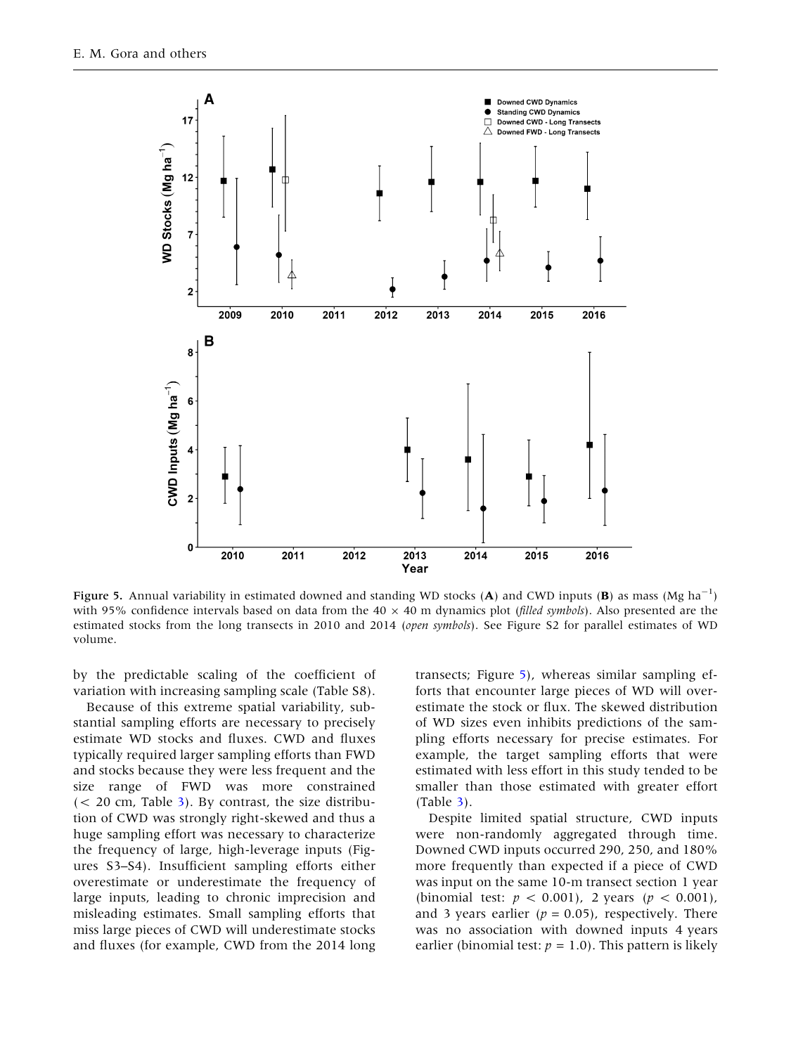

Figure 5. Annual variability in estimated downed and standing WD stocks (A) and CWD inputs (B) as mass (Mg ha<sup>-1</sup>) with 95% confidence intervals based on data from the 40  $\times$  40 m dynamics plot (filled symbols). Also presented are the estimated stocks from the long transects in 2010 and 2014 (open symbols). See Figure S2 for parallel estimates of WD volume.

by the predictable scaling of the coefficient of variation with increasing sampling scale (Table S8).

Because of this extreme spatial variability, substantial sampling efforts are necessary to precisely estimate WD stocks and fluxes. CWD and fluxes typically required larger sampling efforts than FWD and stocks because they were less frequent and the size range of FWD was more constrained  $(< 20$  cm, Table [3\)](#page-10-0). By contrast, the size distribution of CWD was strongly right-skewed and thus a huge sampling effort was necessary to characterize the frequency of large, high-leverage inputs (Figures S3–S4). Insufficient sampling efforts either overestimate or underestimate the frequency of large inputs, leading to chronic imprecision and misleading estimates. Small sampling efforts that miss large pieces of CWD will underestimate stocks and fluxes (for example, CWD from the 2014 long transects; Figure 5), whereas similar sampling efforts that encounter large pieces of WD will overestimate the stock or flux. The skewed distribution of WD sizes even inhibits predictions of the sampling efforts necessary for precise estimates. For example, the target sampling efforts that were estimated with less effort in this study tended to be smaller than those estimated with greater effort (Table [3](#page-10-0)).

Despite limited spatial structure, CWD inputs were non-randomly aggregated through time. Downed CWD inputs occurred 290, 250, and 180% more frequently than expected if a piece of CWD was input on the same 10-m transect section 1 year (binomial test:  $p < 0.001$ ), 2 years ( $p < 0.001$ ), and 3 years earlier ( $p = 0.05$ ), respectively. There was no association with downed inputs 4 years earlier (binomial test:  $p = 1.0$ ). This pattern is likely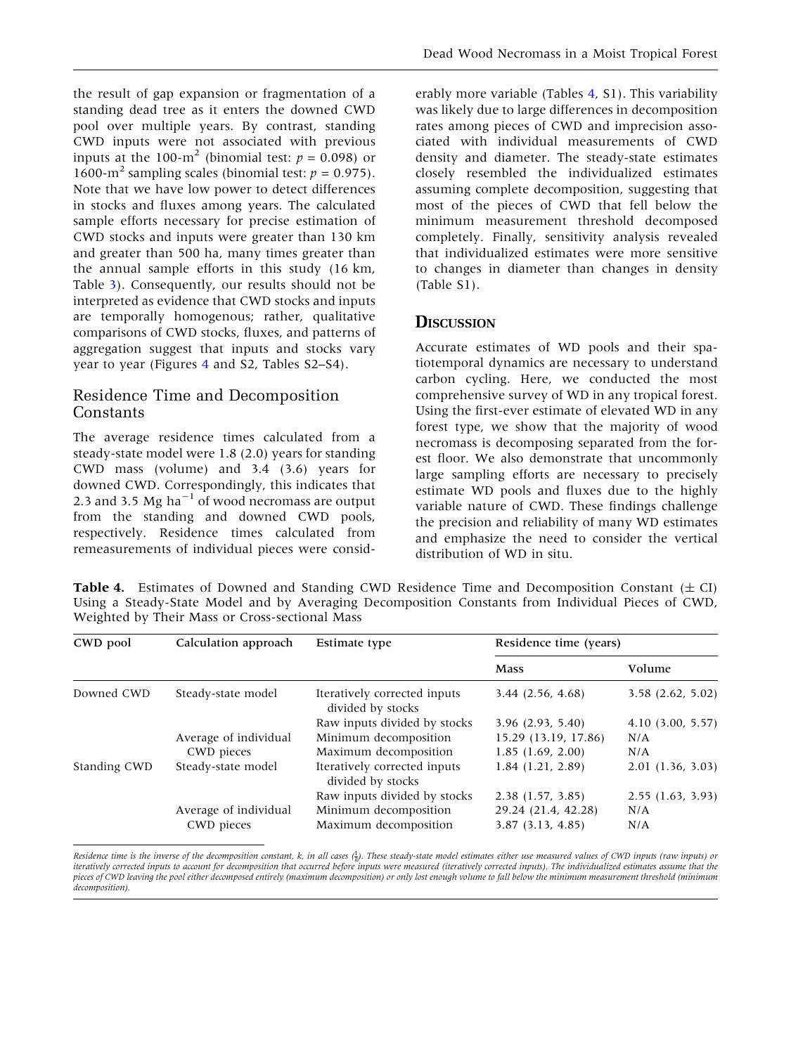the result of gap expansion or fragmentation of a standing dead tree as it enters the downed CWD pool over multiple years. By contrast, standing CWD inputs were not associated with previous inputs at the 100-m<sup>2</sup> (binomial test:  $p = 0.098$ ) or 1600-m<sup>2</sup> sampling scales (binomial test:  $p = 0.975$ ). Note that we have low power to detect differences in stocks and fluxes among years. The calculated sample efforts necessary for precise estimation of CWD stocks and inputs were greater than 130 km and greater than 500 ha, many times greater than the annual sample efforts in this study (16 km, Table [3](#page-10-0)). Consequently, our results should not be interpreted as evidence that CWD stocks and inputs are temporally homogenous; rather, qualitative comparisons of CWD stocks, fluxes, and patterns of aggregation suggest that inputs and stocks vary year to year (Figures [4](#page-8-0) and S2, Tables S2–S4).

# Residence Time and Decomposition Constants

The average residence times calculated from a steady-state model were 1.8 (2.0) years for standing CWD mass (volume) and 3.4 (3.6) years for downed CWD. Correspondingly, this indicates that 2.3 and 3.5 Mg ha<sup> $-1$ </sup> of wood necromass are output from the standing and downed CWD pools, respectively. Residence times calculated from remeasurements of individual pieces were consid-

erably more variable (Tables 4, S1). This variability was likely due to large differences in decomposition rates among pieces of CWD and imprecision associated with individual measurements of CWD density and diameter. The steady-state estimates closely resembled the individualized estimates assuming complete decomposition, suggesting that most of the pieces of CWD that fell below the minimum measurement threshold decomposed completely. Finally, sensitivity analysis revealed that individualized estimates were more sensitive to changes in diameter than changes in density (Table S1).

# **DISCUSSION**

Accurate estimates of WD pools and their spatiotemporal dynamics are necessary to understand carbon cycling. Here, we conducted the most comprehensive survey of WD in any tropical forest. Using the first-ever estimate of elevated WD in any forest type, we show that the majority of wood necromass is decomposing separated from the forest floor. We also demonstrate that uncommonly large sampling efforts are necessary to precisely estimate WD pools and fluxes due to the highly variable nature of CWD. These findings challenge the precision and reliability of many WD estimates and emphasize the need to consider the vertical distribution of WD in situ.

**Table 4.** Estimates of Downed and Standing CWD Residence Time and Decomposition Constant  $(\pm C I)$ Using a Steady-State Model and by Averaging Decomposition Constants from Individual Pieces of CWD, Weighted by Their Mass or Cross-sectional Mass

| CWD pool     | Calculation approach  | Estimate type                                     | Residence time (years) |                       |  |
|--------------|-----------------------|---------------------------------------------------|------------------------|-----------------------|--|
|              |                       |                                                   | <b>Mass</b>            | Volume                |  |
| Downed CWD   | Steady-state model    | Iteratively corrected inputs<br>divided by stocks | 3.44(2.56, 4.68)       | 3.58(2.62, 5.02)      |  |
|              |                       | Raw inputs divided by stocks                      | 3.96(2.93, 5.40)       | $4.10$ $(3.00, 5.57)$ |  |
|              | Average of individual | Minimum decomposition                             | 15.29 (13.19, 17.86)   | N/A                   |  |
|              | CWD pieces            | Maximum decomposition                             | 1.85(1.69, 2.00)       | N/A                   |  |
| Standing CWD | Steady-state model    | Iteratively corrected inputs<br>divided by stocks | $1.84$ $(1.21, 2.89)$  | 2.01(1.36, 3.03)      |  |
|              |                       | Raw inputs divided by stocks                      | 2.38(1.57, 3.85)       | 2.55(1.63, 3.93)      |  |
|              | Average of individual | Minimum decomposition                             | 29.24 (21.4, 42.28)    | N/A                   |  |
|              | CWD pieces            | Maximum decomposition                             | 3.87(3.13, 4.85)       | N/A                   |  |

Residence time is the inverse of the decomposition constant, k, in all cases (†). These steady-state model estimates either use measured values of CWD inputs (raw inputs) or iteratively corrected inputs to account for decomposition that occurred before inputs were measured (iteratively corrected inputs). The individualized estimates assume that the pieces of CWD leaving the pool either decomposed entirely (maximum decomposition) or only lost enough volume to fall below the minimum measurement threshold (minimum decomposition).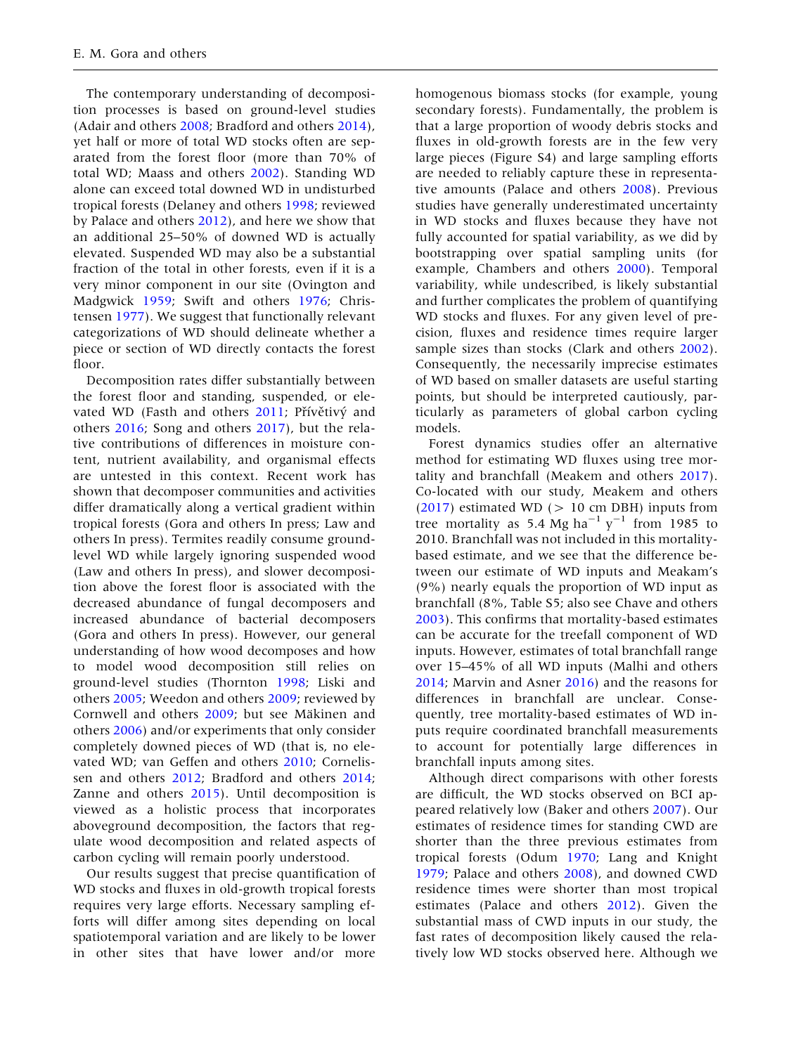The contemporary understanding of decomposition processes is based on ground-level studies (Adair and others [2008](#page-14-0); Bradford and others [2014](#page-14-0)), yet half or more of total WD stocks often are separated from the forest floor (more than 70% of total WD; Maass and others [2002](#page-15-0)). Standing WD alone can exceed total downed WD in undisturbed tropical forests (Delaney and others [1998](#page-15-0); reviewed by Palace and others [2012\)](#page-16-0), and here we show that an additional 25–50% of downed WD is actually elevated. Suspended WD may also be a substantial fraction of the total in other forests, even if it is a very minor component in our site (Ovington and Madgwick [1959](#page-16-0); Swift and others [1976;](#page-16-0) Christensen [1977\)](#page-14-0). We suggest that functionally relevant categorizations of WD should delineate whether a piece or section of WD directly contacts the forest floor.

Decomposition rates differ substantially between the forest floor and standing, suspended, or ele-vated WD (Fasth and others [2011;](#page-15-0) Přívětivý and others [2016](#page-16-0); Song and others [2017](#page-16-0)), but the relative contributions of differences in moisture content, nutrient availability, and organismal effects are untested in this context. Recent work has shown that decomposer communities and activities differ dramatically along a vertical gradient within tropical forests (Gora and others In press; Law and others In press). Termites readily consume groundlevel WD while largely ignoring suspended wood (Law and others In press), and slower decomposition above the forest floor is associated with the decreased abundance of fungal decomposers and increased abundance of bacterial decomposers (Gora and others In press). However, our general understanding of how wood decomposes and how to model wood decomposition still relies on ground-level studies (Thornton [1998](#page-16-0); Liski and others [2005](#page-15-0); Weedon and others [2009;](#page-16-0) reviewed by Cornwell and others [2009;](#page-15-0) but see Mäkinen and others [2006\)](#page-16-0) and/or experiments that only consider completely downed pieces of WD (that is, no elevated WD; van Geffen and others [2010;](#page-16-0) Cornelissen and others [2012](#page-15-0); Bradford and others [2014](#page-14-0); Zanne and others [2015](#page-16-0)). Until decomposition is viewed as a holistic process that incorporates aboveground decomposition, the factors that regulate wood decomposition and related aspects of carbon cycling will remain poorly understood.

Our results suggest that precise quantification of WD stocks and fluxes in old-growth tropical forests requires very large efforts. Necessary sampling efforts will differ among sites depending on local spatiotemporal variation and are likely to be lower in other sites that have lower and/or more

homogenous biomass stocks (for example, young secondary forests). Fundamentally, the problem is that a large proportion of woody debris stocks and fluxes in old-growth forests are in the few very large pieces (Figure S4) and large sampling efforts are needed to reliably capture these in representative amounts (Palace and others [2008\)](#page-16-0). Previous studies have generally underestimated uncertainty in WD stocks and fluxes because they have not fully accounted for spatial variability, as we did by bootstrapping over spatial sampling units (for example, Chambers and others [2000](#page-14-0)). Temporal variability, while undescribed, is likely substantial and further complicates the problem of quantifying WD stocks and fluxes. For any given level of precision, fluxes and residence times require larger sample sizes than stocks (Clark and others [2002](#page-15-0)). Consequently, the necessarily imprecise estimates of WD based on smaller datasets are useful starting points, but should be interpreted cautiously, particularly as parameters of global carbon cycling models.

Forest dynamics studies offer an alternative method for estimating WD fluxes using tree mortality and branchfall (Meakem and others [2017](#page-16-0)). Co-located with our study, Meakem and others  $(2017)$  $(2017)$  estimated WD ( $> 10$  cm DBH) inputs from tree mortality as 5.4 Mg ha<sup>-1</sup> y<sup>-1</sup> from 1985 to 2010. Branchfall was not included in this mortalitybased estimate, and we see that the difference between our estimate of WD inputs and Meakam's (9%) nearly equals the proportion of WD input as branchfall (8%, Table S5; also see Chave and others [2003\)](#page-14-0). This confirms that mortality-based estimates can be accurate for the treefall component of WD inputs. However, estimates of total branchfall range over 15–45% of all WD inputs (Malhi and others [2014;](#page-16-0) Marvin and Asner [2016](#page-16-0)) and the reasons for differences in branchfall are unclear. Consequently, tree mortality-based estimates of WD inputs require coordinated branchfall measurements to account for potentially large differences in branchfall inputs among sites.

Although direct comparisons with other forests are difficult, the WD stocks observed on BCI appeared relatively low (Baker and others [2007](#page-14-0)). Our estimates of residence times for standing CWD are shorter than the three previous estimates from tropical forests (Odum [1970;](#page-16-0) Lang and Knight [1979;](#page-15-0) Palace and others [2008](#page-16-0)), and downed CWD residence times were shorter than most tropical estimates (Palace and others [2012\)](#page-16-0). Given the substantial mass of CWD inputs in our study, the fast rates of decomposition likely caused the relatively low WD stocks observed here. Although we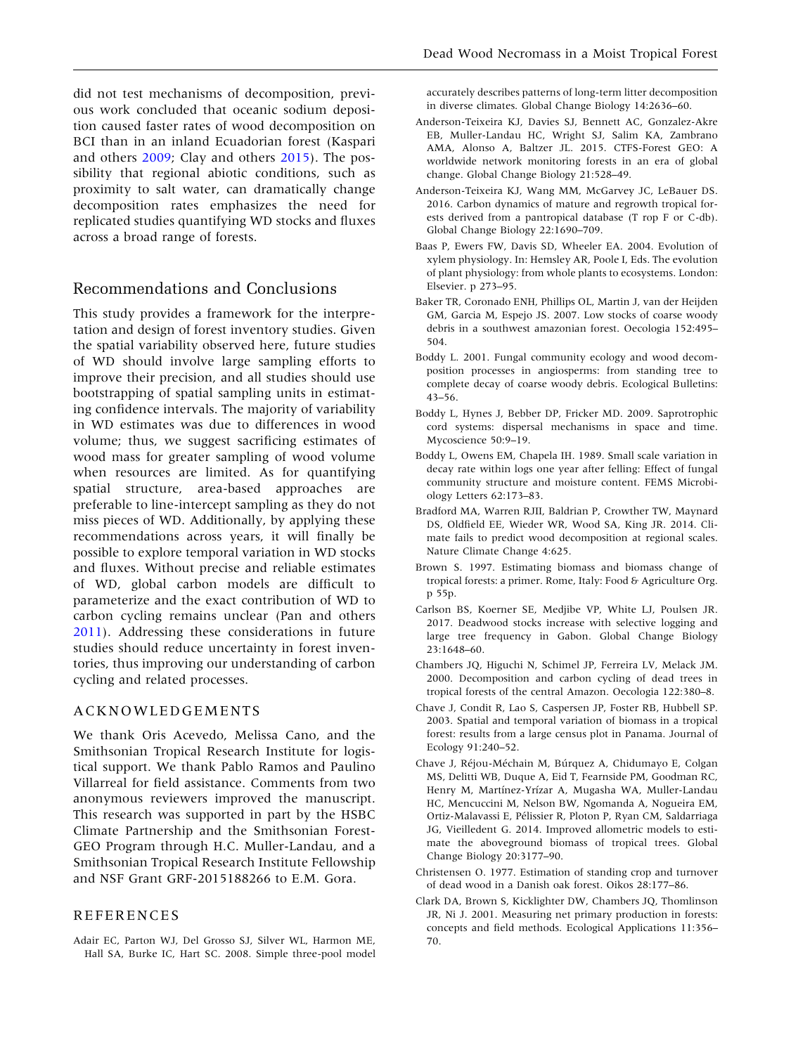<span id="page-14-0"></span>did not test mechanisms of decomposition, previous work concluded that oceanic sodium deposition caused faster rates of wood decomposition on BCI than in an inland Ecuadorian forest (Kaspari and others [2009;](#page-15-0) Clay and others [2015\)](#page-15-0). The possibility that regional abiotic conditions, such as proximity to salt water, can dramatically change decomposition rates emphasizes the need for replicated studies quantifying WD stocks and fluxes across a broad range of forests.

## Recommendations and Conclusions

This study provides a framework for the interpretation and design of forest inventory studies. Given the spatial variability observed here, future studies of WD should involve large sampling efforts to improve their precision, and all studies should use bootstrapping of spatial sampling units in estimating confidence intervals. The majority of variability in WD estimates was due to differences in wood volume; thus, we suggest sacrificing estimates of wood mass for greater sampling of wood volume when resources are limited. As for quantifying spatial structure, area-based approaches are preferable to line-intercept sampling as they do not miss pieces of WD. Additionally, by applying these recommendations across years, it will finally be possible to explore temporal variation in WD stocks and fluxes. Without precise and reliable estimates of WD, global carbon models are difficult to parameterize and the exact contribution of WD to carbon cycling remains unclear (Pan and others [2011\)](#page-16-0). Addressing these considerations in future studies should reduce uncertainty in forest inventories, thus improving our understanding of carbon cycling and related processes.

#### ACKNOWLEDGEMENTS

We thank Oris Acevedo, Melissa Cano, and the Smithsonian Tropical Research Institute for logistical support. We thank Pablo Ramos and Paulino Villarreal for field assistance. Comments from two anonymous reviewers improved the manuscript. This research was supported in part by the HSBC Climate Partnership and the Smithsonian Forest-GEO Program through H.C. Muller-Landau, and a Smithsonian Tropical Research Institute Fellowship and NSF Grant GRF-2015188266 to E.M. Gora.

#### REFERENCES

Adair EC, Parton WJ, Del Grosso SJ, Silver WL, Harmon ME, Hall SA, Burke IC, Hart SC. 2008. Simple three-pool model accurately describes patterns of long-term litter decomposition in diverse climates. Global Change Biology 14:2636–60.

- Anderson-Teixeira KJ, Davies SJ, Bennett AC, Gonzalez-Akre EB, Muller-Landau HC, Wright SJ, Salim KA, Zambrano AMA, Alonso A, Baltzer JL. 2015. CTFS-Forest GEO: A worldwide network monitoring forests in an era of global change. Global Change Biology 21:528–49.
- Anderson-Teixeira KJ, Wang MM, McGarvey JC, LeBauer DS. 2016. Carbon dynamics of mature and regrowth tropical forests derived from a pantropical database (T rop F or C-db). Global Change Biology 22:1690–709.
- Baas P, Ewers FW, Davis SD, Wheeler EA. 2004. Evolution of xylem physiology. In: Hemsley AR, Poole I, Eds. The evolution of plant physiology: from whole plants to ecosystems. London: Elsevier. p 273–95.
- Baker TR, Coronado ENH, Phillips OL, Martin J, van der Heijden GM, Garcia M, Espejo JS. 2007. Low stocks of coarse woody debris in a southwest amazonian forest. Oecologia 152:495– 504.
- Boddy L. 2001. Fungal community ecology and wood decomposition processes in angiosperms: from standing tree to complete decay of coarse woody debris. Ecological Bulletins: 43–56.
- Boddy L, Hynes J, Bebber DP, Fricker MD. 2009. Saprotrophic cord systems: dispersal mechanisms in space and time. Mycoscience 50:9–19.
- Boddy L, Owens EM, Chapela IH. 1989. Small scale variation in decay rate within logs one year after felling: Effect of fungal community structure and moisture content. FEMS Microbiology Letters 62:173–83.
- Bradford MA, Warren RJII, Baldrian P, Crowther TW, Maynard DS, Oldfield EE, Wieder WR, Wood SA, King JR. 2014. Climate fails to predict wood decomposition at regional scales. Nature Climate Change 4:625.
- Brown S. 1997. Estimating biomass and biomass change of tropical forests: a primer. Rome, Italy: Food & Agriculture Org. p 55p.
- Carlson BS, Koerner SE, Medjibe VP, White LJ, Poulsen JR. 2017. Deadwood stocks increase with selective logging and large tree frequency in Gabon. Global Change Biology 23:1648–60.
- Chambers JQ, Higuchi N, Schimel JP, Ferreira LV, Melack JM. 2000. Decomposition and carbon cycling of dead trees in tropical forests of the central Amazon. Oecologia 122:380–8.
- Chave J, Condit R, Lao S, Caspersen JP, Foster RB, Hubbell SP. 2003. Spatial and temporal variation of biomass in a tropical forest: results from a large census plot in Panama. Journal of Ecology 91:240–52.
- Chave J, Réjou-Méchain M, Búrquez A, Chidumayo E, Colgan MS, Delitti WB, Duque A, Eid T, Fearnside PM, Goodman RC, Henry M, Martínez-Yrízar A, Mugasha WA, Muller-Landau HC, Mencuccini M, Nelson BW, Ngomanda A, Nogueira EM, Ortiz-Malavassi E, Pélissier R, Ploton P, Ryan CM, Saldarriaga JG, Vieilledent G. 2014. Improved allometric models to estimate the aboveground biomass of tropical trees. Global Change Biology 20:3177–90.
- Christensen O. 1977. Estimation of standing crop and turnover of dead wood in a Danish oak forest. Oikos 28:177–86.
- Clark DA, Brown S, Kicklighter DW, Chambers JQ, Thomlinson JR, Ni J. 2001. Measuring net primary production in forests: concepts and field methods. Ecological Applications 11:356– 70.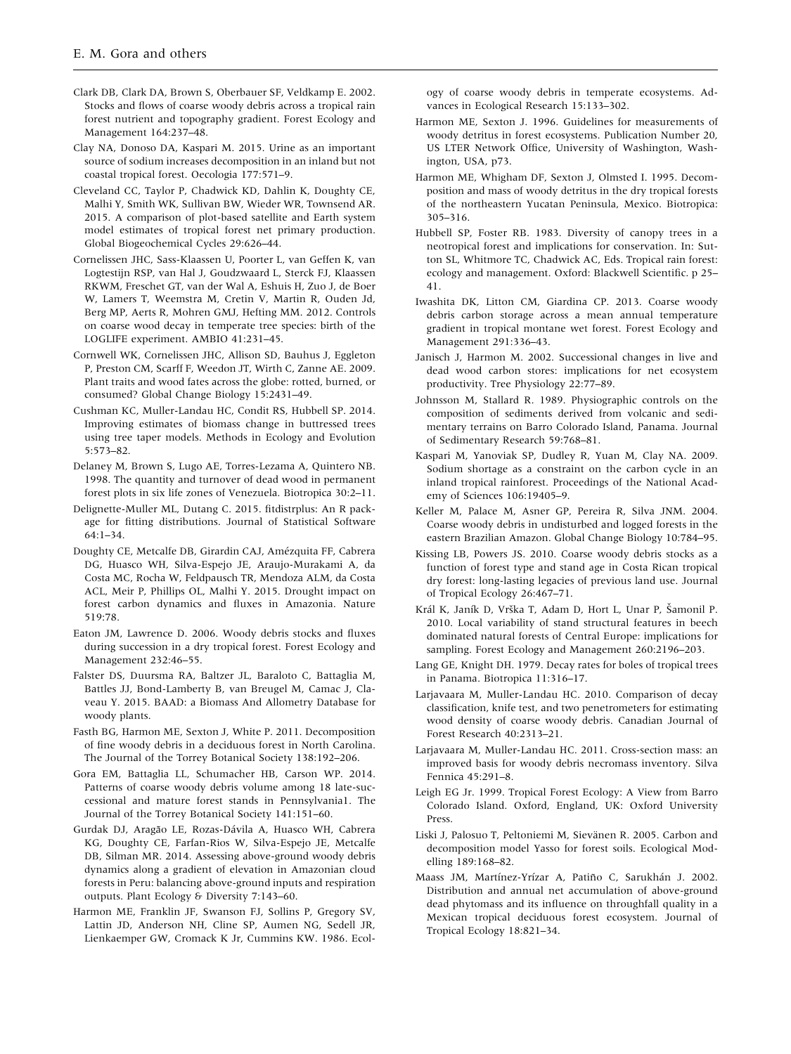- <span id="page-15-0"></span>Clark DB, Clark DA, Brown S, Oberbauer SF, Veldkamp E. 2002. Stocks and flows of coarse woody debris across a tropical rain forest nutrient and topography gradient. Forest Ecology and Management 164:237–48.
- Clay NA, Donoso DA, Kaspari M. 2015. Urine as an important source of sodium increases decomposition in an inland but not coastal tropical forest. Oecologia 177:571–9.
- Cleveland CC, Taylor P, Chadwick KD, Dahlin K, Doughty CE, Malhi Y, Smith WK, Sullivan BW, Wieder WR, Townsend AR. 2015. A comparison of plot-based satellite and Earth system model estimates of tropical forest net primary production. Global Biogeochemical Cycles 29:626–44.
- Cornelissen JHC, Sass-Klaassen U, Poorter L, van Geffen K, van Logtestijn RSP, van Hal J, Goudzwaard L, Sterck FJ, Klaassen RKWM, Freschet GT, van der Wal A, Eshuis H, Zuo J, de Boer W, Lamers T, Weemstra M, Cretin V, Martin R, Ouden Jd, Berg MP, Aerts R, Mohren GMJ, Hefting MM. 2012. Controls on coarse wood decay in temperate tree species: birth of the LOGLIFE experiment. AMBIO 41:231–45.
- Cornwell WK, Cornelissen JHC, Allison SD, Bauhus J, Eggleton P, Preston CM, Scarff F, Weedon JT, Wirth C, Zanne AE. 2009. Plant traits and wood fates across the globe: rotted, burned, or consumed? Global Change Biology 15:2431–49.
- Cushman KC, Muller-Landau HC, Condit RS, Hubbell SP. 2014. Improving estimates of biomass change in buttressed trees using tree taper models. Methods in Ecology and Evolution 5:573–82.
- Delaney M, Brown S, Lugo AE, Torres-Lezama A, Quintero NB. 1998. The quantity and turnover of dead wood in permanent forest plots in six life zones of Venezuela. Biotropica 30:2–11.
- Delignette-Muller ML, Dutang C. 2015. fitdistrplus: An R package for fitting distributions. Journal of Statistical Software 64:1–34.
- Doughty CE, Metcalfe DB, Girardin CAJ, Amézquita FF, Cabrera DG, Huasco WH, Silva-Espejo JE, Araujo-Murakami A, da Costa MC, Rocha W, Feldpausch TR, Mendoza ALM, da Costa ACL, Meir P, Phillips OL, Malhi Y. 2015. Drought impact on forest carbon dynamics and fluxes in Amazonia. Nature 519:78.
- Eaton JM, Lawrence D. 2006. Woody debris stocks and fluxes during succession in a dry tropical forest. Forest Ecology and Management 232:46–55.
- Falster DS, Duursma RA, Baltzer JL, Baraloto C, Battaglia M, Battles JJ, Bond-Lamberty B, van Breugel M, Camac J, Claveau Y. 2015. BAAD: a Biomass And Allometry Database for woody plants.
- Fasth BG, Harmon ME, Sexton J, White P. 2011. Decomposition of fine woody debris in a deciduous forest in North Carolina. The Journal of the Torrey Botanical Society 138:192–206.
- Gora EM, Battaglia LL, Schumacher HB, Carson WP. 2014. Patterns of coarse woody debris volume among 18 late-successional and mature forest stands in Pennsylvania1. The Journal of the Torrey Botanical Society 141:151–60.
- Gurdak DJ, Aragão LE, Rozas-Dávila A, Huasco WH, Cabrera KG, Doughty CE, Farfan-Rios W, Silva-Espejo JE, Metcalfe DB, Silman MR. 2014. Assessing above-ground woody debris dynamics along a gradient of elevation in Amazonian cloud forests in Peru: balancing above-ground inputs and respiration outputs. Plant Ecology & Diversity 7:143–60.
- Harmon ME, Franklin JF, Swanson FJ, Sollins P, Gregory SV, Lattin JD, Anderson NH, Cline SP, Aumen NG, Sedell JR, Lienkaemper GW, Cromack K Jr, Cummins KW. 1986. Ecol-

ogy of coarse woody debris in temperate ecosystems. Advances in Ecological Research 15:133–302.

- Harmon ME, Sexton J. 1996. Guidelines for measurements of woody detritus in forest ecosystems. Publication Number 20, US LTER Network Office, University of Washington, Washington, USA, p73.
- Harmon ME, Whigham DF, Sexton J, Olmsted I. 1995. Decomposition and mass of woody detritus in the dry tropical forests of the northeastern Yucatan Peninsula, Mexico. Biotropica: 305–316.
- Hubbell SP, Foster RB. 1983. Diversity of canopy trees in a neotropical forest and implications for conservation. In: Sutton SL, Whitmore TC, Chadwick AC, Eds. Tropical rain forest: ecology and management. Oxford: Blackwell Scientific. p 25– 41.
- Iwashita DK, Litton CM, Giardina CP. 2013. Coarse woody debris carbon storage across a mean annual temperature gradient in tropical montane wet forest. Forest Ecology and Management 291:336–43.
- Janisch J, Harmon M. 2002. Successional changes in live and dead wood carbon stores: implications for net ecosystem productivity. Tree Physiology 22:77–89.
- Johnsson M, Stallard R. 1989. Physiographic controls on the composition of sediments derived from volcanic and sedimentary terrains on Barro Colorado Island, Panama. Journal of Sedimentary Research 59:768–81.
- Kaspari M, Yanoviak SP, Dudley R, Yuan M, Clay NA. 2009. Sodium shortage as a constraint on the carbon cycle in an inland tropical rainforest. Proceedings of the National Academy of Sciences 106:19405–9.
- Keller M, Palace M, Asner GP, Pereira R, Silva JNM. 2004. Coarse woody debris in undisturbed and logged forests in the eastern Brazilian Amazon. Global Change Biology 10:784–95.
- Kissing LB, Powers JS. 2010. Coarse woody debris stocks as a function of forest type and stand age in Costa Rican tropical dry forest: long-lasting legacies of previous land use. Journal of Tropical Ecology 26:467–71.
- Král K, Janík D, Vrška T, Adam D, Hort L, Unar P, Šamonil P. 2010. Local variability of stand structural features in beech dominated natural forests of Central Europe: implications for sampling. Forest Ecology and Management 260:2196–203.
- Lang GE, Knight DH. 1979. Decay rates for boles of tropical trees in Panama. Biotropica 11:316–17.
- Larjavaara M, Muller-Landau HC. 2010. Comparison of decay classification, knife test, and two penetrometers for estimating wood density of coarse woody debris. Canadian Journal of Forest Research 40:2313–21.
- Larjavaara M, Muller-Landau HC. 2011. Cross-section mass: an improved basis for woody debris necromass inventory. Silva Fennica 45:291–8.
- Leigh EG Jr. 1999. Tropical Forest Ecology: A View from Barro Colorado Island. Oxford, England, UK: Oxford University Press.
- Liski J, Palosuo T, Peltoniemi M, Sievänen R. 2005. Carbon and decomposition model Yasso for forest soils. Ecological Modelling 189:168–82.
- Maass JM, Martínez-Yrízar A, Patiño C, Sarukhán J. 2002. Distribution and annual net accumulation of above-ground dead phytomass and its influence on throughfall quality in a Mexican tropical deciduous forest ecosystem. Journal of Tropical Ecology 18:821–34.